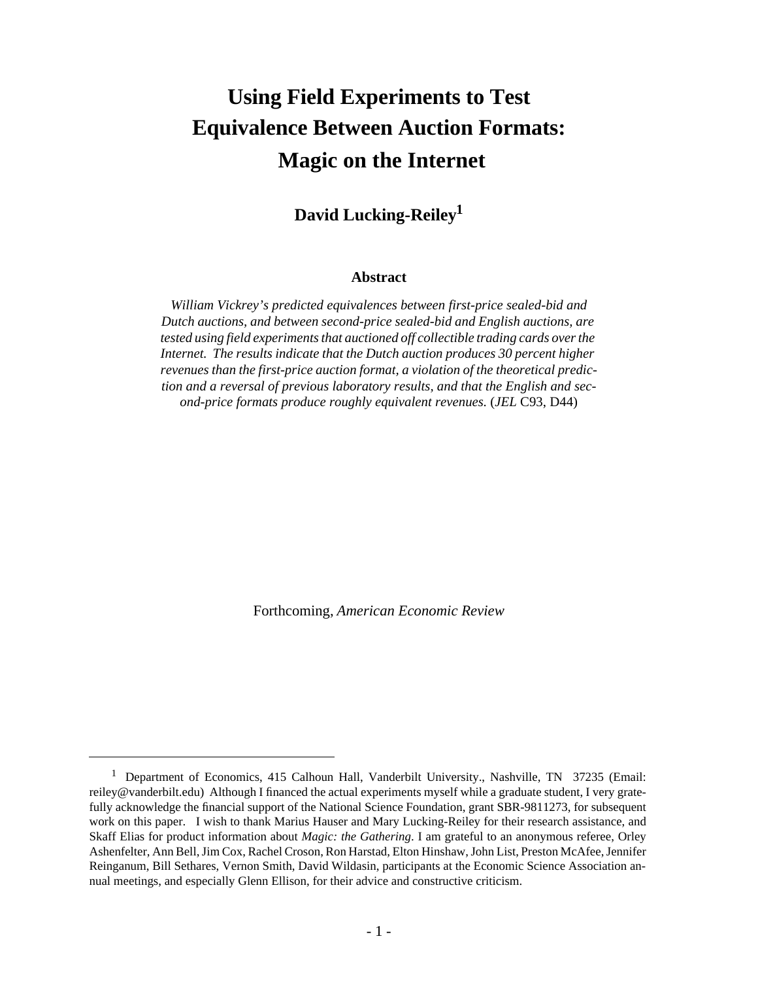# **Using Field Experiments to Test Equivalence Between Auction Formats: Magic on the Internet**

## **David Lucking-Reiley<sup>1</sup>**

#### **Abstract**

*William Vickrey's predicted equivalences between first-price sealed-bid and Dutch auctions, and between second-price sealed-bid and English auctions, are tested using field experiments that auctioned off collectible trading cards over the Internet. The results indicate that the Dutch auction produces 30 percent higher revenues than the first-price auction format, a violation of the theoretical prediction and a reversal of previous laboratory results, and that the English and second-price formats produce roughly equivalent revenues.* (*JEL* C93, D44)

Forthcoming, *American Economic Review*

<sup>&</sup>lt;sup>1</sup> Department of Economics, 415 Calhoun Hall, Vanderbilt University., Nashville, TN 37235 (Email: reiley@vanderbilt.edu) Although I financed the actual experiments myself while a graduate student, I very gratefully acknowledge the financial support of the National Science Foundation, grant SBR-9811273, for subsequent work on this paper. I wish to thank Marius Hauser and Mary Lucking-Reiley for their research assistance, and Skaff Elias for product information about *Magic: the Gathering*. I am grateful to an anonymous referee, Orley Ashenfelter, Ann Bell, Jim Cox, Rachel Croson, Ron Harstad, Elton Hinshaw, John List, Preston McAfee, Jennifer Reinganum, Bill Sethares, Vernon Smith, David Wildasin, participants at the Economic Science Association annual meetings, and especially Glenn Ellison, for their advice and constructive criticism.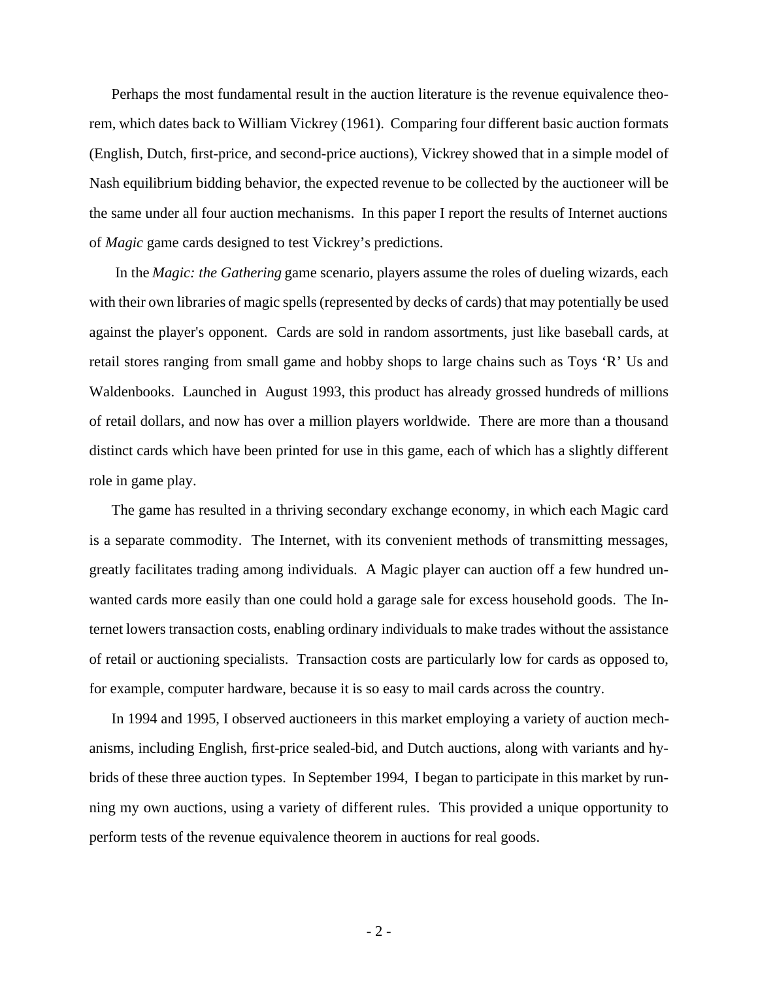Perhaps the most fundamental result in the auction literature is the revenue equivalence theorem, which dates back to William Vickrey (1961). Comparing four different basic auction formats (English, Dutch, first-price, and second-price auctions), Vickrey showed that in a simple model of Nash equilibrium bidding behavior, the expected revenue to be collected by the auctioneer will be the same under all four auction mechanisms. In this paper I report the results of Internet auctions of *Magic* game cards designed to test Vickrey's predictions.

 In the *Magic: the Gathering* game scenario, players assume the roles of dueling wizards, each with their own libraries of magic spells (represented by decks of cards) that may potentially be used against the player's opponent. Cards are sold in random assortments, just like baseball cards, at retail stores ranging from small game and hobby shops to large chains such as Toys 'R' Us and Waldenbooks. Launched in August 1993, this product has already grossed hundreds of millions of retail dollars, and now has over a million players worldwide. There are more than a thousand distinct cards which have been printed for use in this game, each of which has a slightly different role in game play.

The game has resulted in a thriving secondary exchange economy, in which each Magic card is a separate commodity. The Internet, with its convenient methods of transmitting messages, greatly facilitates trading among individuals. A Magic player can auction off a few hundred unwanted cards more easily than one could hold a garage sale for excess household goods. The Internet lowers transaction costs, enabling ordinary individuals to make trades without the assistance of retail or auctioning specialists. Transaction costs are particularly low for cards as opposed to, for example, computer hardware, because it is so easy to mail cards across the country.

In 1994 and 1995, I observed auctioneers in this market employing a variety of auction mechanisms, including English, first-price sealed-bid, and Dutch auctions, along with variants and hybrids of these three auction types. In September 1994, I began to participate in this market by running my own auctions, using a variety of different rules. This provided a unique opportunity to perform tests of the revenue equivalence theorem in auctions for real goods.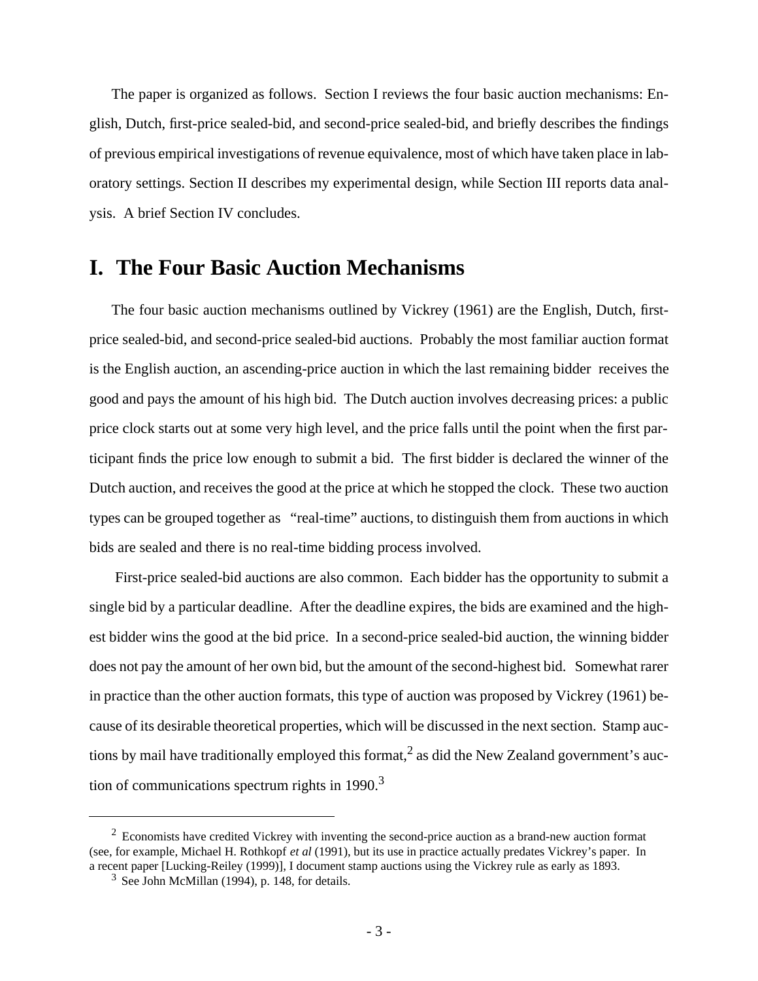The paper is organized as follows. Section I reviews the four basic auction mechanisms: English, Dutch, first-price sealed-bid, and second-price sealed-bid, and briefly describes the findings of previous empirical investigations of revenue equivalence, most of which have taken place in laboratory settings. Section II describes my experimental design, while Section III reports data analysis. A brief Section IV concludes.

## **I. The Four Basic Auction Mechanisms**

The four basic auction mechanisms outlined by Vickrey (1961) are the English, Dutch, firstprice sealed-bid, and second-price sealed-bid auctions. Probably the most familiar auction format is the English auction, an ascending-price auction in which the last remaining bidder receives the good and pays the amount of his high bid. The Dutch auction involves decreasing prices: a public price clock starts out at some very high level, and the price falls until the point when the first participant finds the price low enough to submit a bid. The first bidder is declared the winner of the Dutch auction, and receives the good at the price at which he stopped the clock. These two auction types can be grouped together as "real-time" auctions, to distinguish them from auctions in which bids are sealed and there is no real-time bidding process involved.

 First-price sealed-bid auctions are also common. Each bidder has the opportunity to submit a single bid by a particular deadline. After the deadline expires, the bids are examined and the highest bidder wins the good at the bid price. In a second-price sealed-bid auction, the winning bidder does not pay the amount of her own bid, but the amount of the second-highest bid. Somewhat rarer in practice than the other auction formats, this type of auction was proposed by Vickrey (1961) because of its desirable theoretical properties, which will be discussed in the next section. Stamp auctions by mail have traditionally employed this format, $^2$  as did the New Zealand government's auction of communications spectrum rights in  $1990.<sup>3</sup>$ 

<sup>&</sup>lt;sup>2</sup> Economists have credited Vickrey with inventing the second-price auction as a brand-new auction format (see, for example, Michael H. Rothkopf *et al* (1991), but its use in practice actually predates Vickrey's paper. In a recent paper [Lucking-Reiley (1999)], I document stamp auctions using the Vickrey rule as early as 1893.

 $3$  See John McMillan (1994), p. 148, for details.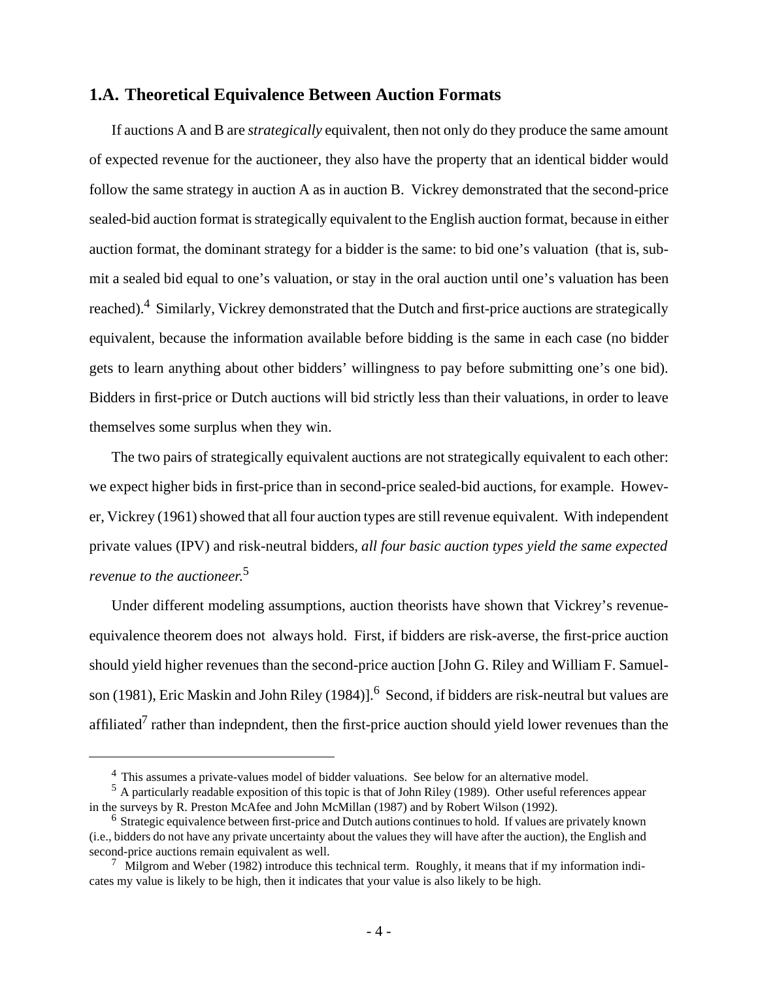#### **1.A. Theoretical Equivalence Between Auction Formats**

If auctions A and B are *strategically* equivalent, then not only do they produce the same amount of expected revenue for the auctioneer, they also have the property that an identical bidder would follow the same strategy in auction A as in auction B. Vickrey demonstrated that the second-price sealed-bid auction format is strategically equivalent to the English auction format, because in either auction format, the dominant strategy for a bidder is the same: to bid one's valuation (that is, submit a sealed bid equal to one's valuation, or stay in the oral auction until one's valuation has been reached).<sup>4</sup> Similarly, Vickrey demonstrated that the Dutch and first-price auctions are strategically equivalent, because the information available before bidding is the same in each case (no bidder gets to learn anything about other bidders' willingness to pay before submitting one's one bid). Bidders in first-price or Dutch auctions will bid strictly less than their valuations, in order to leave themselves some surplus when they win.

The two pairs of strategically equivalent auctions are not strategically equivalent to each other: we expect higher bids in first-price than in second-price sealed-bid auctions, for example. However, Vickrey (1961) showed that all four auction types are still revenue equivalent. With independent private values (IPV) and risk-neutral bidders, *all four basic auction types yield the same expected revenue to the auctioneer*. 5

Under different modeling assumptions, auction theorists have shown that Vickrey's revenueequivalence theorem does not always hold. First, if bidders are risk-averse, the first-price auction should yield higher revenues than the second-price auction [John G. Riley and William F. Samuelson (1981), Eric Maskin and John Riley (1984)].<sup>6</sup> Second, if bidders are risk-neutral but values are affiliated<sup>7</sup> rather than indepndent, then the first-price auction should yield lower revenues than the

<sup>&</sup>lt;sup>4</sup> This assumes a private-values model of bidder valuations. See below for an alternative model.

 $<sup>5</sup>$  A particularly readable exposition of this topic is that of John Riley (1989). Other useful references appear</sup> in the surveys by R. Preston McAfee and John McMillan (1987) and by Robert Wilson (1992).

<sup>&</sup>lt;sup>6</sup> Strategic equivalence between first-price and Dutch autions continues to hold. If values are privately known (i.e., bidders do not have any private uncertainty about the values they will have after the auction), the English and second-price auctions remain equivalent as well.

 $\frac{7}{10}$  Milgrom and Weber (1982) introduce this technical term. Roughly, it means that if my information indicates my value is likely to be high, then it indicates that your value is also likely to be high.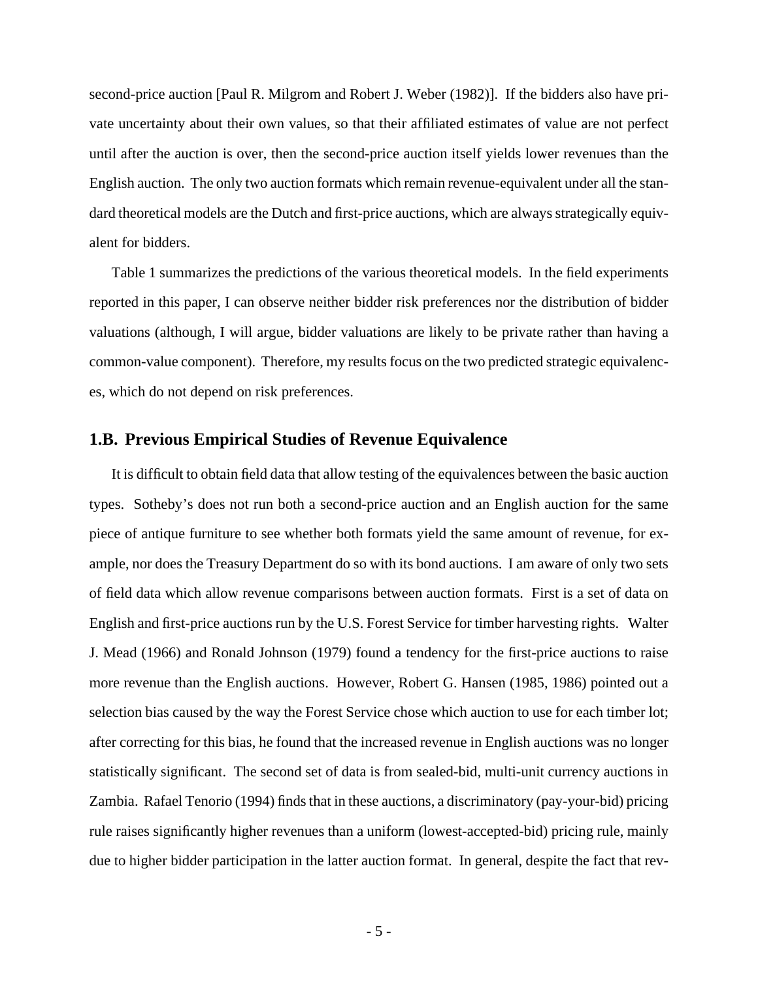second-price auction [Paul R. Milgrom and Robert J. Weber (1982)]. If the bidders also have private uncertainty about their own values, so that their affiliated estimates of value are not perfect until after the auction is over, then the second-price auction itself yields lower revenues than the English auction. The only two auction formats which remain revenue-equivalent under all the standard theoretical models are the Dutch and first-price auctions, which are always strategically equivalent for bidders.

Table 1 summarizes the predictions of the various theoretical models. In the field experiments reported in this paper, I can observe neither bidder risk preferences nor the distribution of bidder valuations (although, I will argue, bidder valuations are likely to be private rather than having a common-value component). Therefore, my results focus on the two predicted strategic equivalences, which do not depend on risk preferences.

#### **1.B. Previous Empirical Studies of Revenue Equivalence**

It is difficult to obtain field data that allow testing of the equivalences between the basic auction types. Sotheby's does not run both a second-price auction and an English auction for the same piece of antique furniture to see whether both formats yield the same amount of revenue, for example, nor does the Treasury Department do so with its bond auctions. I am aware of only two sets of field data which allow revenue comparisons between auction formats. First is a set of data on English and first-price auctions run by the U.S. Forest Service for timber harvesting rights. Walter J. Mead (1966) and Ronald Johnson (1979) found a tendency for the first-price auctions to raise more revenue than the English auctions. However, Robert G. Hansen (1985, 1986) pointed out a selection bias caused by the way the Forest Service chose which auction to use for each timber lot; after correcting for this bias, he found that the increased revenue in English auctions was no longer statistically significant. The second set of data is from sealed-bid, multi-unit currency auctions in Zambia. Rafael Tenorio (1994) finds that in these auctions, a discriminatory (pay-your-bid) pricing rule raises significantly higher revenues than a uniform (lowest-accepted-bid) pricing rule, mainly due to higher bidder participation in the latter auction format. In general, despite the fact that rev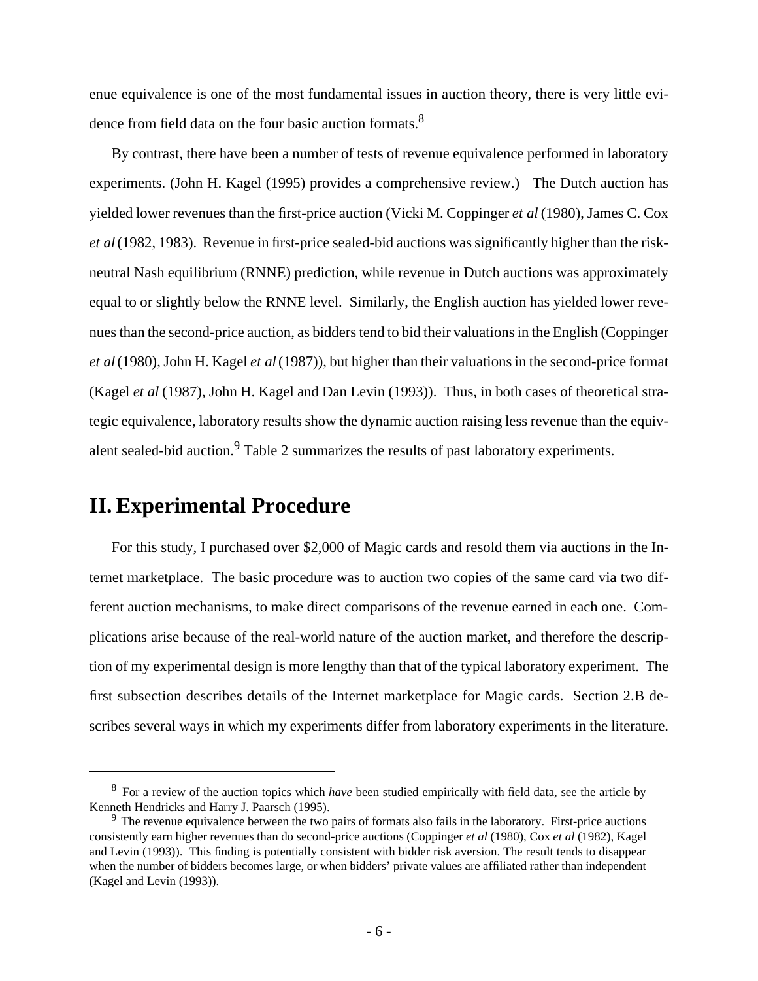enue equivalence is one of the most fundamental issues in auction theory, there is very little evidence from field data on the four basic auction formats.<sup>8</sup>

By contrast, there have been a number of tests of revenue equivalence performed in laboratory experiments. (John H. Kagel (1995) provides a comprehensive review.) The Dutch auction has yielded lower revenues than the first-price auction (Vicki M. Coppinger *et al* (1980), James C. Cox *et al* (1982, 1983). Revenue in first-price sealed-bid auctions was significantly higher than the riskneutral Nash equilibrium (RNNE) prediction, while revenue in Dutch auctions was approximately equal to or slightly below the RNNE level. Similarly, the English auction has yielded lower revenues than the second-price auction, as bidders tend to bid their valuations in the English (Coppinger *et al* (1980), John H. Kagel *et al* (1987)), but higher than their valuations in the second-price format (Kagel *et al* (1987), John H. Kagel and Dan Levin (1993)). Thus, in both cases of theoretical strategic equivalence, laboratory results show the dynamic auction raising less revenue than the equivalent sealed-bid auction.<sup>9</sup> Table 2 summarizes the results of past laboratory experiments.

## **II. Experimental Procedure**

For this study, I purchased over \$2,000 of Magic cards and resold them via auctions in the Internet marketplace. The basic procedure was to auction two copies of the same card via two different auction mechanisms, to make direct comparisons of the revenue earned in each one. Complications arise because of the real-world nature of the auction market, and therefore the description of my experimental design is more lengthy than that of the typical laboratory experiment. The first subsection describes details of the Internet marketplace for Magic cards. Section 2.B describes several ways in which my experiments differ from laboratory experiments in the literature.

<sup>8</sup>For a review of the auction topics which *have* been studied empirically with field data, see the article by Kenneth Hendricks and Harry J. Paarsch (1995).

<sup>&</sup>lt;sup>9</sup> The revenue equivalence between the two pairs of formats also fails in the laboratory. First-price auctions consistently earn higher revenues than do second-price auctions (Coppinger *et al* (1980), Cox *et al* (1982), Kagel and Levin (1993)). This finding is potentially consistent with bidder risk aversion. The result tends to disappear when the number of bidders becomes large, or when bidders' private values are affiliated rather than independent (Kagel and Levin (1993)).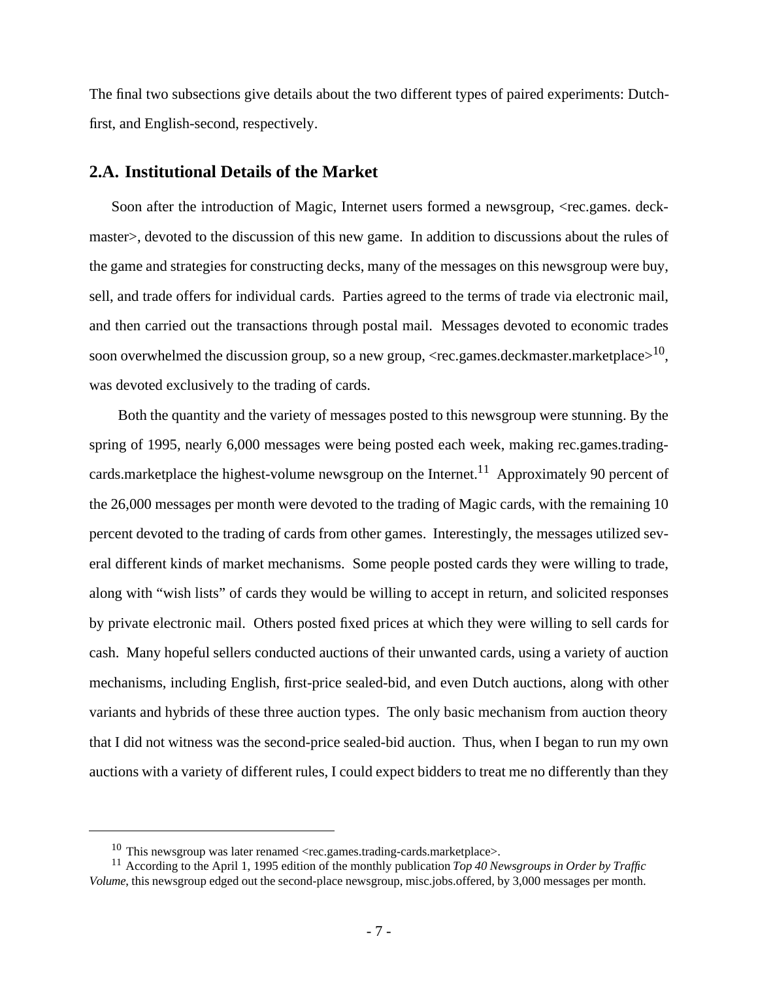The final two subsections give details about the two different types of paired experiments: Dutchfirst, and English-second, respectively.

#### **2.A. Institutional Details of the Market**

Soon after the introduction of Magic, Internet users formed a newsgroup, <rec.games. deckmaster>, devoted to the discussion of this new game. In addition to discussions about the rules of the game and strategies for constructing decks, many of the messages on this newsgroup were buy, sell, and trade offers for individual cards. Parties agreed to the terms of trade via electronic mail, and then carried out the transactions through postal mail. Messages devoted to economic trades soon overwhelmed the discussion group, so a new group, <rec.games.deckmaster.marketplace $>^{10}$ , was devoted exclusively to the trading of cards.

 Both the quantity and the variety of messages posted to this newsgroup were stunning. By the spring of 1995, nearly 6,000 messages were being posted each week, making rec.games.tradingcards.marketplace the highest-volume newsgroup on the Internet.<sup>11</sup> Approximately 90 percent of the 26,000 messages per month were devoted to the trading of Magic cards, with the remaining 10 percent devoted to the trading of cards from other games. Interestingly, the messages utilized several different kinds of market mechanisms. Some people posted cards they were willing to trade, along with "wish lists" of cards they would be willing to accept in return, and solicited responses by private electronic mail. Others posted fixed prices at which they were willing to sell cards for cash. Many hopeful sellers conducted auctions of their unwanted cards, using a variety of auction mechanisms, including English, first-price sealed-bid, and even Dutch auctions, along with other variants and hybrids of these three auction types. The only basic mechanism from auction theory that I did not witness was the second-price sealed-bid auction. Thus, when I began to run my own auctions with a variety of different rules, I could expect bidders to treat me no differently than they

<sup>&</sup>lt;sup>10</sup> This newsgroup was later renamed  $\langle$ rec.games.trading-cards.marketplace>.

<sup>&</sup>lt;sup>11</sup> According to the April 1, 1995 edition of the monthly publication *Top 40 Newsgroups in Order by Traffic Volume*, this newsgroup edged out the second-place newsgroup, misc.jobs.offered, by 3,000 messages per month.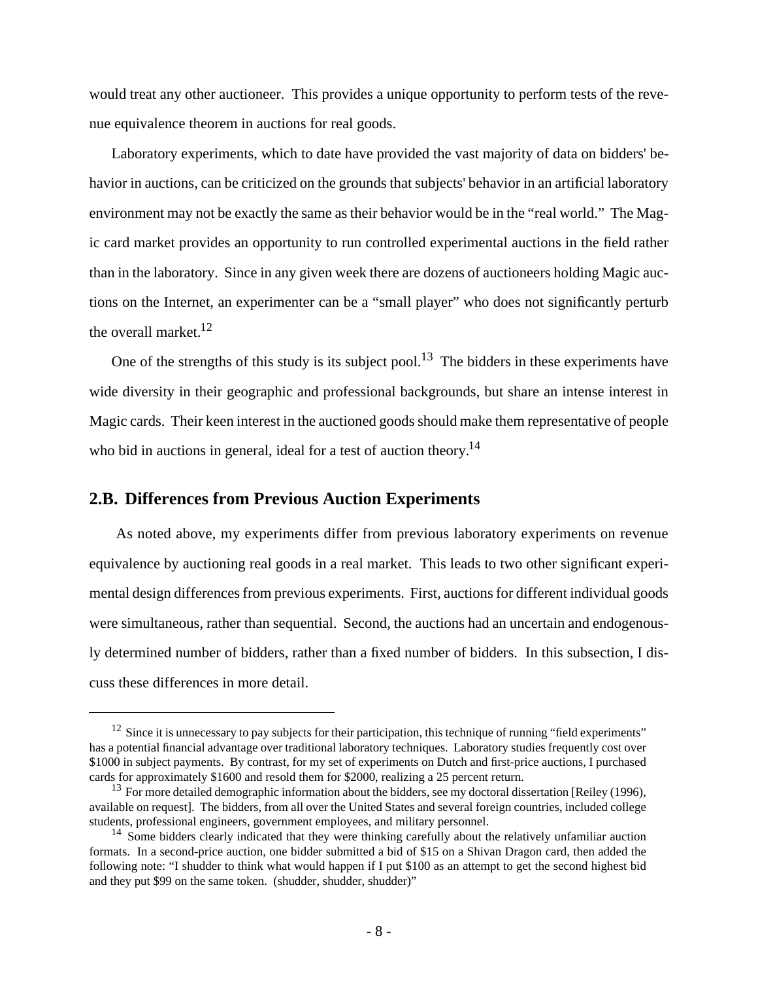would treat any other auctioneer. This provides a unique opportunity to perform tests of the revenue equivalence theorem in auctions for real goods.

Laboratory experiments, which to date have provided the vast majority of data on bidders' behavior in auctions, can be criticized on the grounds that subjects' behavior in an artificial laboratory environment may not be exactly the same as their behavior would be in the "real world." The Magic card market provides an opportunity to run controlled experimental auctions in the field rather than in the laboratory. Since in any given week there are dozens of auctioneers holding Magic auctions on the Internet, an experimenter can be a "small player" who does not significantly perturb the overall market.<sup>12</sup>

One of the strengths of this study is its subject pool.<sup>13</sup> The bidders in these experiments have wide diversity in their geographic and professional backgrounds, but share an intense interest in Magic cards. Their keen interest in the auctioned goods should make them representative of people who bid in auctions in general, ideal for a test of auction theory.<sup>14</sup>

### **2.B. Differences from Previous Auction Experiments**

 As noted above, my experiments differ from previous laboratory experiments on revenue equivalence by auctioning real goods in a real market. This leads to two other significant experimental design differences from previous experiments. First, auctions for different individual goods were simultaneous, rather than sequential. Second, the auctions had an uncertain and endogenously determined number of bidders, rather than a fixed number of bidders. In this subsection, I discuss these differences in more detail.

 $12$  Since it is unnecessary to pay subjects for their participation, this technique of running "field experiments" has a potential financial advantage over traditional laboratory techniques. Laboratory studies frequently cost over \$1000 in subject payments. By contrast, for my set of experiments on Dutch and first-price auctions, I purchased cards for approximately \$1600 and resold them for \$2000, realizing a 25 percent return.

<sup>&</sup>lt;sup>13</sup> For more detailed demographic information about the bidders, see my doctoral dissertation [Reiley (1996), available on request]. The bidders, from all over the United States and several foreign countries, included college students, professional engineers, government employees, and military personnel.

<sup>&</sup>lt;sup>14</sup> Some bidders clearly indicated that they were thinking carefully about the relatively unfamiliar auction formats. In a second-price auction, one bidder submitted a bid of \$15 on a Shivan Dragon card, then added the following note: "I shudder to think what would happen if I put \$100 as an attempt to get the second highest bid and they put \$99 on the same token. (shudder, shudder, shudder)"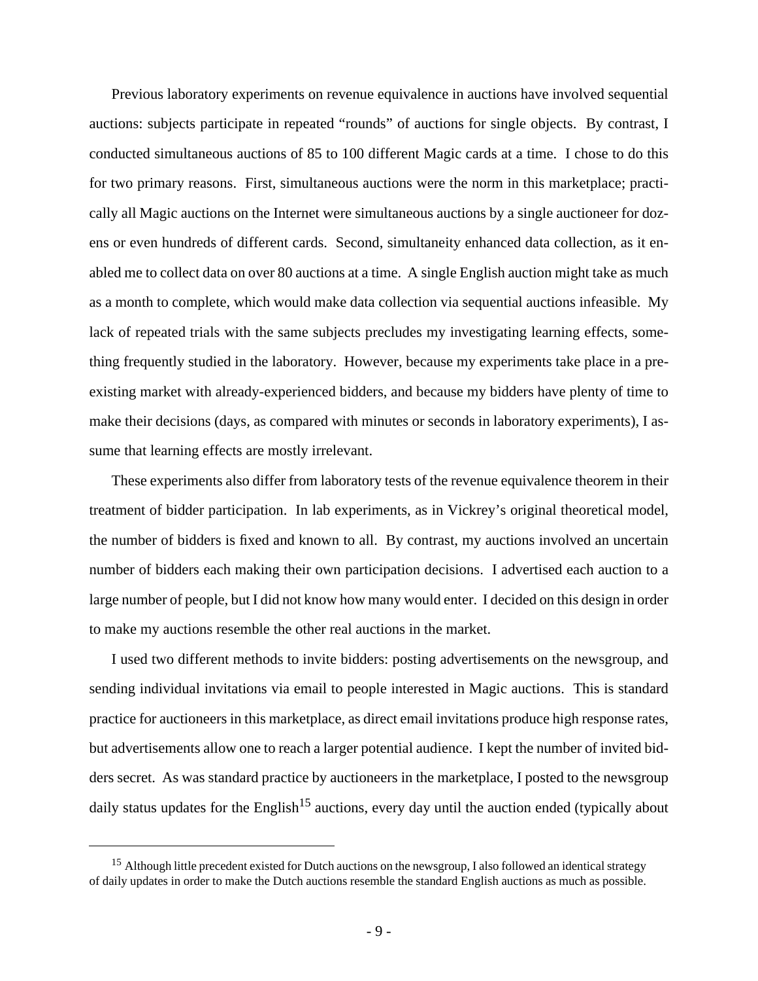Previous laboratory experiments on revenue equivalence in auctions have involved sequential auctions: subjects participate in repeated "rounds" of auctions for single objects. By contrast, I conducted simultaneous auctions of 85 to 100 different Magic cards at a time. I chose to do this for two primary reasons. First, simultaneous auctions were the norm in this marketplace; practically all Magic auctions on the Internet were simultaneous auctions by a single auctioneer for dozens or even hundreds of different cards. Second, simultaneity enhanced data collection, as it enabled me to collect data on over 80 auctions at a time. A single English auction might take as much as a month to complete, which would make data collection via sequential auctions infeasible. My lack of repeated trials with the same subjects precludes my investigating learning effects, something frequently studied in the laboratory. However, because my experiments take place in a preexisting market with already-experienced bidders, and because my bidders have plenty of time to make their decisions (days, as compared with minutes or seconds in laboratory experiments), I assume that learning effects are mostly irrelevant.

These experiments also differ from laboratory tests of the revenue equivalence theorem in their treatment of bidder participation. In lab experiments, as in Vickrey's original theoretical model, the number of bidders is fixed and known to all. By contrast, my auctions involved an uncertain number of bidders each making their own participation decisions. I advertised each auction to a large number of people, but I did not know how many would enter. I decided on this design in order to make my auctions resemble the other real auctions in the market.

I used two different methods to invite bidders: posting advertisements on the newsgroup, and sending individual invitations via email to people interested in Magic auctions. This is standard practice for auctioneers in this marketplace, as direct email invitations produce high response rates, but advertisements allow one to reach a larger potential audience. I kept the number of invited bidders secret. As was standard practice by auctioneers in the marketplace, I posted to the newsgroup daily status updates for the English<sup>15</sup> auctions, every day until the auction ended (typically about

<sup>&</sup>lt;sup>15</sup> Although little precedent existed for Dutch auctions on the newsgroup, I also followed an identical strategy of daily updates in order to make the Dutch auctions resemble the standard English auctions as much as possible.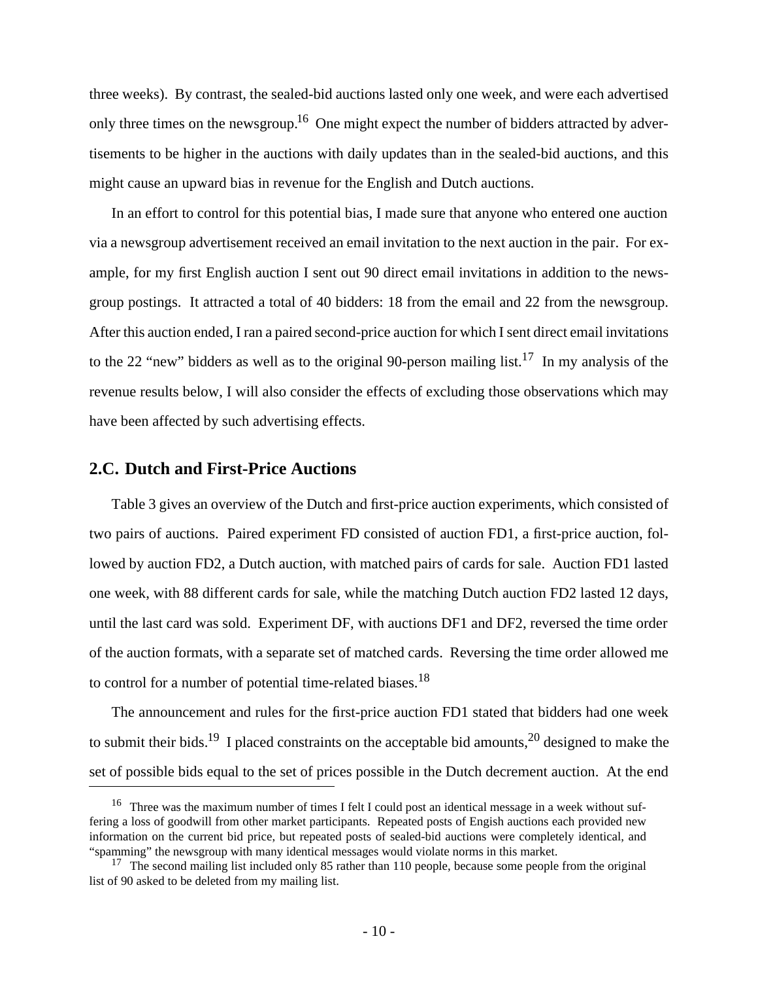three weeks). By contrast, the sealed-bid auctions lasted only one week, and were each advertised only three times on the newsgroup.<sup>16</sup> One might expect the number of bidders attracted by advertisements to be higher in the auctions with daily updates than in the sealed-bid auctions, and this might cause an upward bias in revenue for the English and Dutch auctions.

In an effort to control for this potential bias, I made sure that anyone who entered one auction via a newsgroup advertisement received an email invitation to the next auction in the pair. For example, for my first English auction I sent out 90 direct email invitations in addition to the newsgroup postings. It attracted a total of 40 bidders: 18 from the email and 22 from the newsgroup. After this auction ended, I ran a paired second-price auction for which I sent direct email invitations to the 22 "new" bidders as well as to the original 90-person mailing list.<sup>17</sup> In my analysis of the revenue results below, I will also consider the effects of excluding those observations which may have been affected by such advertising effects.

#### **2.C. Dutch and First-Price Auctions**

Table 3 gives an overview of the Dutch and first-price auction experiments, which consisted of two pairs of auctions. Paired experiment FD consisted of auction FD1, a first-price auction, followed by auction FD2, a Dutch auction, with matched pairs of cards for sale. Auction FD1 lasted one week, with 88 different cards for sale, while the matching Dutch auction FD2 lasted 12 days, until the last card was sold. Experiment DF, with auctions DF1 and DF2, reversed the time order of the auction formats, with a separate set of matched cards. Reversing the time order allowed me to control for a number of potential time-related biases.<sup>18</sup>

The announcement and rules for the first-price auction FD1 stated that bidders had one week to submit their bids.<sup>19</sup> I placed constraints on the acceptable bid amounts,<sup>20</sup> designed to make the set of possible bids equal to the set of prices possible in the Dutch decrement auction. At the end

<sup>&</sup>lt;sup>16</sup> Three was the maximum number of times I felt I could post an identical message in a week without suffering a loss of goodwill from other market participants. Repeated posts of Engish auctions each provided new information on the current bid price, but repeated posts of sealed-bid auctions were completely identical, and "spamming" the newsgroup with many identical messages would violate norms in this market.

<sup>&</sup>lt;sup>17</sup> The second mailing list included only 85 rather than 110 people, because some people from the original list of 90 asked to be deleted from my mailing list.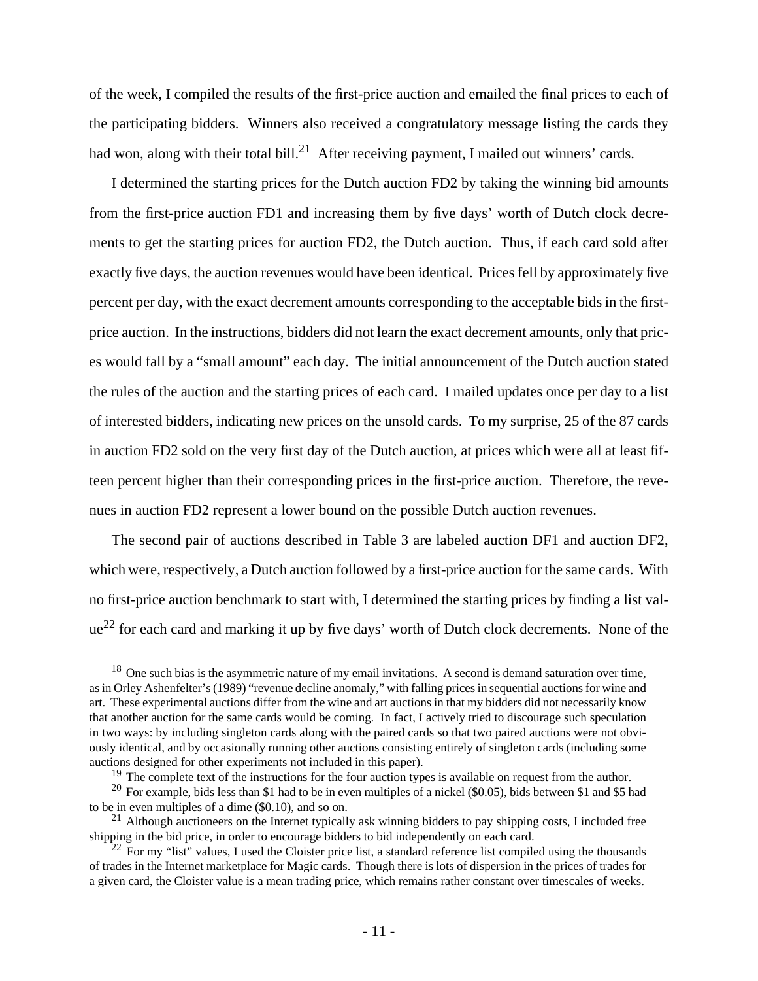of the week, I compiled the results of the first-price auction and emailed the final prices to each of the participating bidders. Winners also received a congratulatory message listing the cards they had won, along with their total bill.<sup>21</sup> After receiving payment, I mailed out winners' cards.

I determined the starting prices for the Dutch auction FD2 by taking the winning bid amounts from the first-price auction FD1 and increasing them by five days' worth of Dutch clock decrements to get the starting prices for auction FD2, the Dutch auction. Thus, if each card sold after exactly five days, the auction revenues would have been identical. Prices fell by approximately five percent per day, with the exact decrement amounts corresponding to the acceptable bids in the firstprice auction. In the instructions, bidders did not learn the exact decrement amounts, only that prices would fall by a "small amount" each day. The initial announcement of the Dutch auction stated the rules of the auction and the starting prices of each card. I mailed updates once per day to a list of interested bidders, indicating new prices on the unsold cards. To my surprise, 25 of the 87 cards in auction FD2 sold on the very first day of the Dutch auction, at prices which were all at least fifteen percent higher than their corresponding prices in the first-price auction. Therefore, the revenues in auction FD2 represent a lower bound on the possible Dutch auction revenues.

The second pair of auctions described in Table 3 are labeled auction DF1 and auction DF2, which were, respectively, a Dutch auction followed by a first-price auction for the same cards. With no first-price auction benchmark to start with, I determined the starting prices by finding a list val $ue^{22}$  for each card and marking it up by five days' worth of Dutch clock decrements. None of the

<sup>&</sup>lt;sup>18</sup> One such bias is the asymmetric nature of my email invitations. A second is demand saturation over time, as in Orley Ashenfelter's (1989) "revenue decline anomaly," with falling prices in sequential auctions for wine and art. These experimental auctions differ from the wine and art auctions in that my bidders did not necessarily know that another auction for the same cards would be coming. In fact, I actively tried to discourage such speculation in two ways: by including singleton cards along with the paired cards so that two paired auctions were not obviously identical, and by occasionally running other auctions consisting entirely of singleton cards (including some auctions designed for other experiments not included in this paper).

<sup>&</sup>lt;sup>19</sup> The complete text of the instructions for the four auction types is available on request from the author.

<sup>&</sup>lt;sup>20</sup> For example, bids less than \$1 had to be in even multiples of a nickel (\$0.05), bids between \$1 and \$5 had to be in even multiples of a dime (\$0.10), and so on.

<sup>&</sup>lt;sup>21</sup> Although auctioneers on the Internet typically ask winning bidders to pay shipping costs, I included free shipping in the bid price, in order to encourage bidders to bid independently on each card.

 $^{22}$  For my "list" values, I used the Cloister price list, a standard reference list compiled using the thousands of trades in the Internet marketplace for Magic cards. Though there is lots of dispersion in the prices of trades for a given card, the Cloister value is a mean trading price, which remains rather constant over timescales of weeks.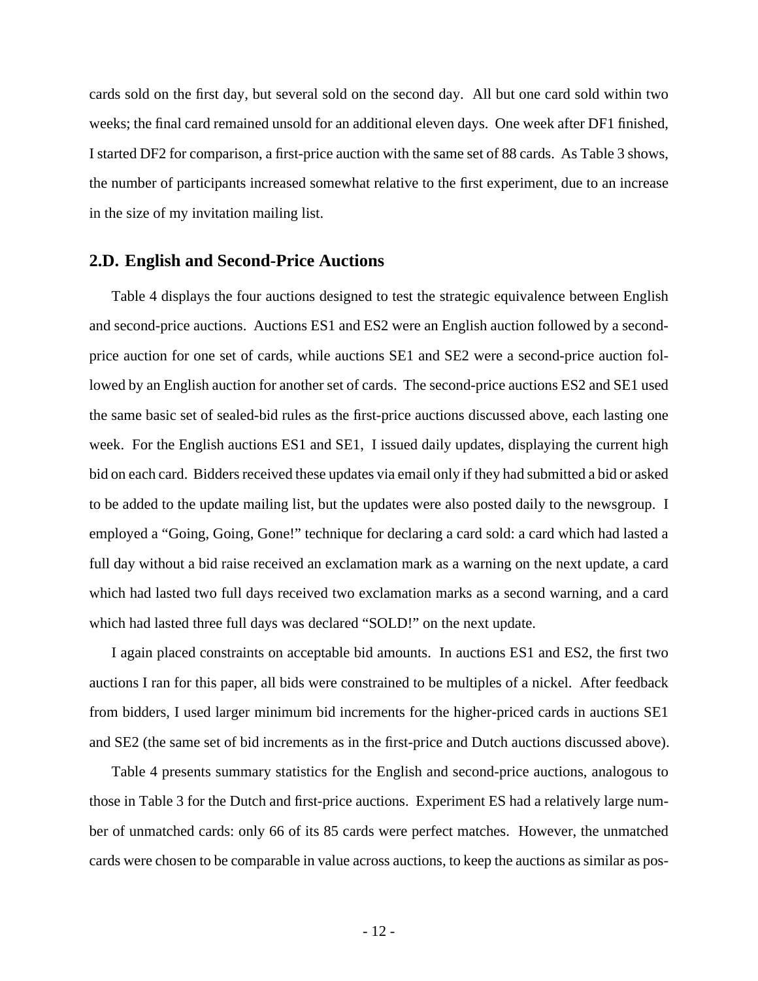cards sold on the first day, but several sold on the second day. All but one card sold within two weeks; the final card remained unsold for an additional eleven days. One week after DF1 finished, I started DF2 for comparison, a first-price auction with the same set of 88 cards. As Table 3 shows, the number of participants increased somewhat relative to the first experiment, due to an increase in the size of my invitation mailing list.

#### **2.D. English and Second-Price Auctions**

Table 4 displays the four auctions designed to test the strategic equivalence between English and second-price auctions. Auctions ES1 and ES2 were an English auction followed by a secondprice auction for one set of cards, while auctions SE1 and SE2 were a second-price auction followed by an English auction for another set of cards. The second-price auctions ES2 and SE1 used the same basic set of sealed-bid rules as the first-price auctions discussed above, each lasting one week. For the English auctions ES1 and SE1, I issued daily updates, displaying the current high bid on each card. Bidders received these updates via email only if they had submitted a bid or asked to be added to the update mailing list, but the updates were also posted daily to the newsgroup. I employed a "Going, Going, Gone!" technique for declaring a card sold: a card which had lasted a full day without a bid raise received an exclamation mark as a warning on the next update, a card which had lasted two full days received two exclamation marks as a second warning, and a card which had lasted three full days was declared "SOLD!" on the next update.

I again placed constraints on acceptable bid amounts. In auctions ES1 and ES2, the first two auctions I ran for this paper, all bids were constrained to be multiples of a nickel. After feedback from bidders, I used larger minimum bid increments for the higher-priced cards in auctions SE1 and SE2 (the same set of bid increments as in the first-price and Dutch auctions discussed above).

Table 4 presents summary statistics for the English and second-price auctions, analogous to those in Table 3 for the Dutch and first-price auctions. Experiment ES had a relatively large number of unmatched cards: only 66 of its 85 cards were perfect matches. However, the unmatched cards were chosen to be comparable in value across auctions, to keep the auctions as similar as pos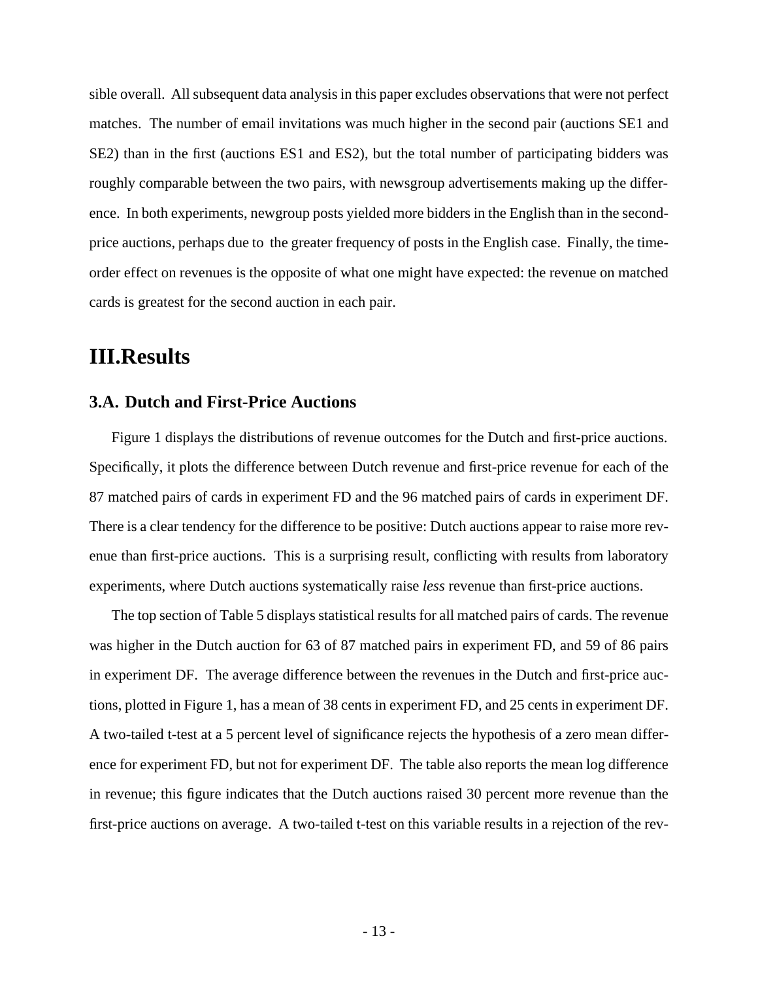sible overall. All subsequent data analysis in this paper excludes observations that were not perfect matches. The number of email invitations was much higher in the second pair (auctions SE1 and SE2) than in the first (auctions ES1 and ES2), but the total number of participating bidders was roughly comparable between the two pairs, with newsgroup advertisements making up the difference. In both experiments, newgroup posts yielded more bidders in the English than in the secondprice auctions, perhaps due to the greater frequency of posts in the English case. Finally, the timeorder effect on revenues is the opposite of what one might have expected: the revenue on matched cards is greatest for the second auction in each pair.

# **III.Results**

### **3.A. Dutch and First-Price Auctions**

Figure 1 displays the distributions of revenue outcomes for the Dutch and first-price auctions. Specifically, it plots the difference between Dutch revenue and first-price revenue for each of the 87 matched pairs of cards in experiment FD and the 96 matched pairs of cards in experiment DF. There is a clear tendency for the difference to be positive: Dutch auctions appear to raise more revenue than first-price auctions. This is a surprising result, conflicting with results from laboratory experiments, where Dutch auctions systematically raise *less* revenue than first-price auctions.

The top section of Table 5 displays statistical results for all matched pairs of cards. The revenue was higher in the Dutch auction for 63 of 87 matched pairs in experiment FD, and 59 of 86 pairs in experiment DF. The average difference between the revenues in the Dutch and first-price auctions, plotted in Figure 1, has a mean of 38 cents in experiment FD, and 25 cents in experiment DF. A two-tailed t-test at a 5 percent level of significance rejects the hypothesis of a zero mean difference for experiment FD, but not for experiment DF. The table also reports the mean log difference in revenue; this figure indicates that the Dutch auctions raised 30 percent more revenue than the first-price auctions on average. A two-tailed t-test on this variable results in a rejection of the rev-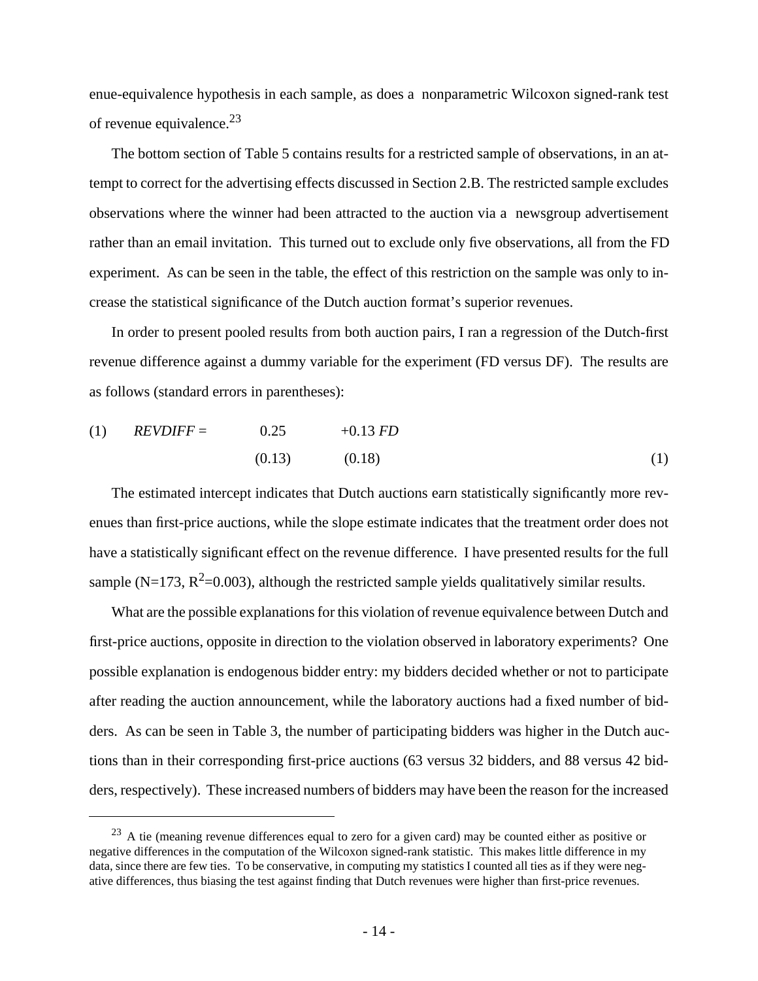enue-equivalence hypothesis in each sample, as does a nonparametric Wilcoxon signed-rank test of revenue equivalence.<sup>23</sup>

The bottom section of Table 5 contains results for a restricted sample of observations, in an attempt to correct for the advertising effects discussed in Section 2.B. The restricted sample excludes observations where the winner had been attracted to the auction via a newsgroup advertisement rather than an email invitation. This turned out to exclude only five observations, all from the FD experiment. As can be seen in the table, the effect of this restriction on the sample was only to increase the statistical significance of the Dutch auction format's superior revenues.

In order to present pooled results from both auction pairs, I ran a regression of the Dutch-first revenue difference against a dummy variable for the experiment (FD versus DF). The results are as follows (standard errors in parentheses):

(1) 
$$
REVDIFF =
$$
 0.25 +0.13 FD  
(0.13) (0.18) (1)

The estimated intercept indicates that Dutch auctions earn statistically significantly more revenues than first-price auctions, while the slope estimate indicates that the treatment order does not have a statistically significant effect on the revenue difference. I have presented results for the full sample (N=173,  $R^2$ =0.003), although the restricted sample yields qualitatively similar results.

What are the possible explanations for this violation of revenue equivalence between Dutch and first-price auctions, opposite in direction to the violation observed in laboratory experiments? One possible explanation is endogenous bidder entry: my bidders decided whether or not to participate after reading the auction announcement, while the laboratory auctions had a fixed number of bidders. As can be seen in Table 3, the number of participating bidders was higher in the Dutch auctions than in their corresponding first-price auctions (63 versus 32 bidders, and 88 versus 42 bidders, respectively). These increased numbers of bidders may have been the reason for the increased

 $^{23}$  A tie (meaning revenue differences equal to zero for a given card) may be counted either as positive or negative differences in the computation of the Wilcoxon signed-rank statistic. This makes little difference in my data, since there are few ties. To be conservative, in computing my statistics I counted all ties as if they were negative differences, thus biasing the test against finding that Dutch revenues were higher than first-price revenues.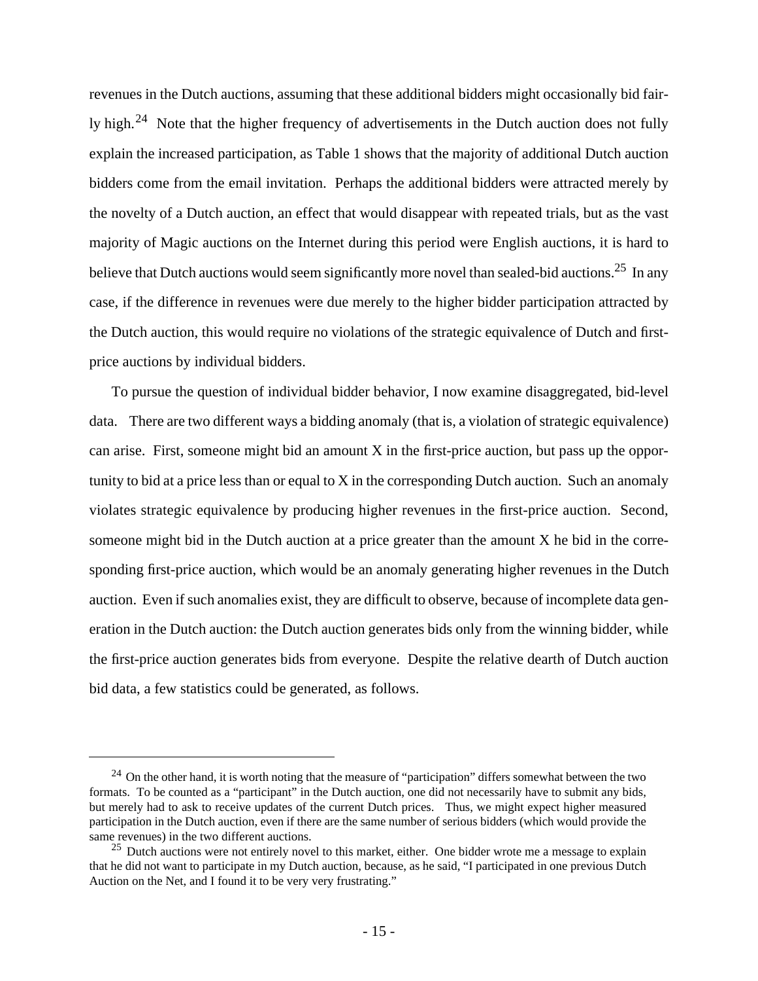revenues in the Dutch auctions, assuming that these additional bidders might occasionally bid fairly high.<sup>24</sup> Note that the higher frequency of advertisements in the Dutch auction does not fully explain the increased participation, as Table 1 shows that the majority of additional Dutch auction bidders come from the email invitation. Perhaps the additional bidders were attracted merely by the novelty of a Dutch auction, an effect that would disappear with repeated trials, but as the vast majority of Magic auctions on the Internet during this period were English auctions, it is hard to believe that Dutch auctions would seem significantly more novel than sealed-bid auctions.<sup>25</sup> In any case, if the difference in revenues were due merely to the higher bidder participation attracted by the Dutch auction, this would require no violations of the strategic equivalence of Dutch and firstprice auctions by individual bidders.

To pursue the question of individual bidder behavior, I now examine disaggregated, bid-level data. There are two different ways a bidding anomaly (that is, a violation of strategic equivalence) can arise. First, someone might bid an amount X in the first-price auction, but pass up the opportunity to bid at a price less than or equal to X in the corresponding Dutch auction. Such an anomaly violates strategic equivalence by producing higher revenues in the first-price auction. Second, someone might bid in the Dutch auction at a price greater than the amount X he bid in the corresponding first-price auction, which would be an anomaly generating higher revenues in the Dutch auction. Even if such anomalies exist, they are difficult to observe, because of incomplete data generation in the Dutch auction: the Dutch auction generates bids only from the winning bidder, while the first-price auction generates bids from everyone. Despite the relative dearth of Dutch auction bid data, a few statistics could be generated, as follows.

 $^{24}$  On the other hand, it is worth noting that the measure of "participation" differs somewhat between the two formats. To be counted as a "participant" in the Dutch auction, one did not necessarily have to submit any bids, but merely had to ask to receive updates of the current Dutch prices. Thus, we might expect higher measured participation in the Dutch auction, even if there are the same number of serious bidders (which would provide the same revenues) in the two different auctions.

 $25$  Dutch auctions were not entirely novel to this market, either. One bidder wrote me a message to explain that he did not want to participate in my Dutch auction, because, as he said, "I participated in one previous Dutch Auction on the Net, and I found it to be very very frustrating."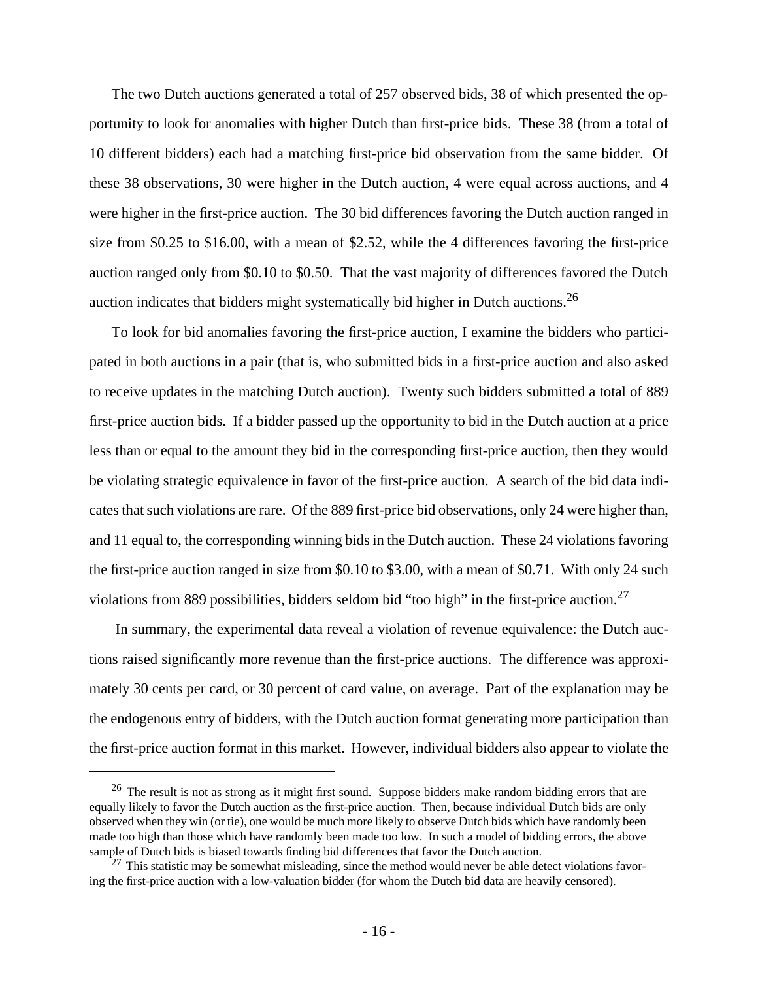The two Dutch auctions generated a total of 257 observed bids, 38 of which presented the opportunity to look for anomalies with higher Dutch than first-price bids. These 38 (from a total of 10 different bidders) each had a matching first-price bid observation from the same bidder. Of these 38 observations, 30 were higher in the Dutch auction, 4 were equal across auctions, and 4 were higher in the first-price auction. The 30 bid differences favoring the Dutch auction ranged in size from \$0.25 to \$16.00, with a mean of \$2.52, while the 4 differences favoring the first-price auction ranged only from \$0.10 to \$0.50. That the vast majority of differences favored the Dutch auction indicates that bidders might systematically bid higher in Dutch auctions.<sup>26</sup>

To look for bid anomalies favoring the first-price auction, I examine the bidders who participated in both auctions in a pair (that is, who submitted bids in a first-price auction and also asked to receive updates in the matching Dutch auction). Twenty such bidders submitted a total of 889 first-price auction bids. If a bidder passed up the opportunity to bid in the Dutch auction at a price less than or equal to the amount they bid in the corresponding first-price auction, then they would be violating strategic equivalence in favor of the first-price auction. A search of the bid data indicates that such violations are rare. Of the 889 first-price bid observations, only 24 were higher than, and 11 equal to, the corresponding winning bids in the Dutch auction. These 24 violations favoring the first-price auction ranged in size from \$0.10 to \$3.00, with a mean of \$0.71. With only 24 such violations from 889 possibilities, bidders seldom bid "too high" in the first-price auction.<sup>27</sup>

 In summary, the experimental data reveal a violation of revenue equivalence: the Dutch auctions raised significantly more revenue than the first-price auctions. The difference was approximately 30 cents per card, or 30 percent of card value, on average. Part of the explanation may be the endogenous entry of bidders, with the Dutch auction format generating more participation than the first-price auction format in this market. However, individual bidders also appear to violate the

<sup>&</sup>lt;sup>26</sup> The result is not as strong as it might first sound. Suppose bidders make random bidding errors that are equally likely to favor the Dutch auction as the first-price auction. Then, because individual Dutch bids are only observed when they win (or tie), one would be much more likely to observe Dutch bids which have randomly been made too high than those which have randomly been made too low. In such a model of bidding errors, the above sample of Dutch bids is biased towards finding bid differences that favor the Dutch auction.

 $^{27}$  This statistic may be somewhat misleading, since the method would never be able detect violations favoring the first-price auction with a low-valuation bidder (for whom the Dutch bid data are heavily censored).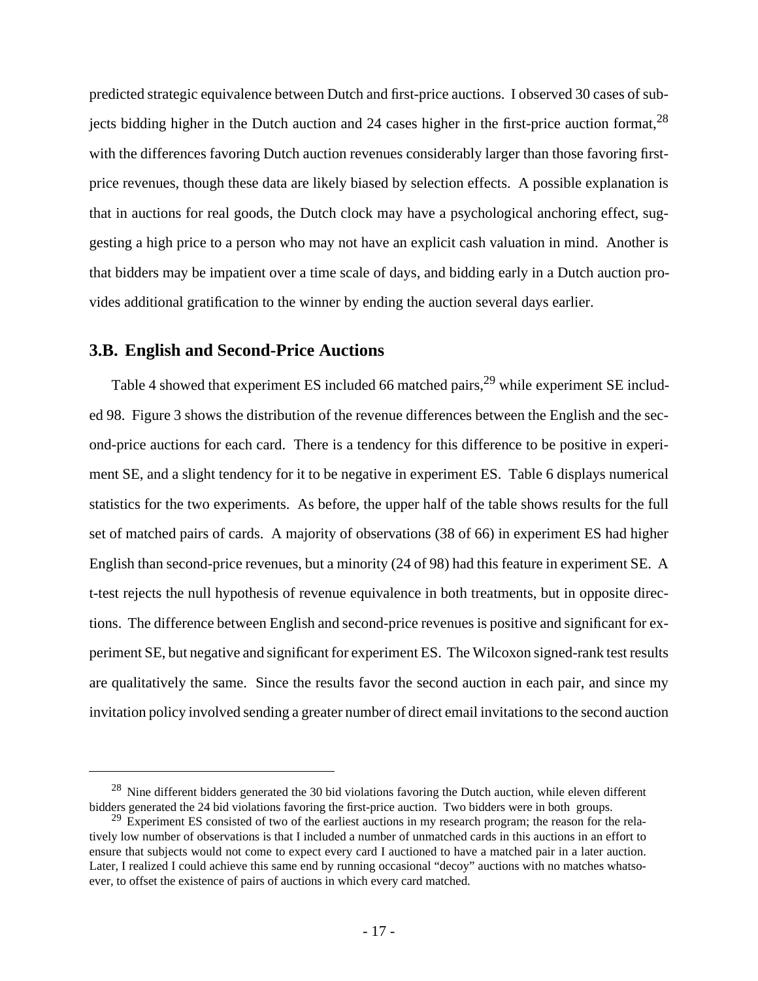predicted strategic equivalence between Dutch and first-price auctions. I observed 30 cases of subjects bidding higher in the Dutch auction and 24 cases higher in the first-price auction format,  $^{28}$ with the differences favoring Dutch auction revenues considerably larger than those favoring firstprice revenues, though these data are likely biased by selection effects. A possible explanation is that in auctions for real goods, the Dutch clock may have a psychological anchoring effect, suggesting a high price to a person who may not have an explicit cash valuation in mind. Another is that bidders may be impatient over a time scale of days, and bidding early in a Dutch auction provides additional gratification to the winner by ending the auction several days earlier.

#### **3.B. English and Second-Price Auctions**

Table 4 showed that experiment ES included 66 matched pairs,<sup>29</sup> while experiment SE included 98. Figure 3 shows the distribution of the revenue differences between the English and the second-price auctions for each card. There is a tendency for this difference to be positive in experiment SE, and a slight tendency for it to be negative in experiment ES. Table 6 displays numerical statistics for the two experiments. As before, the upper half of the table shows results for the full set of matched pairs of cards. A majority of observations (38 of 66) in experiment ES had higher English than second-price revenues, but a minority (24 of 98) had this feature in experiment SE. A t-test rejects the null hypothesis of revenue equivalence in both treatments, but in opposite directions. The difference between English and second-price revenues is positive and significant for experiment SE, but negative and significant for experiment ES. The Wilcoxon signed-rank test results are qualitatively the same. Since the results favor the second auction in each pair, and since my invitation policy involved sending a greater number of direct email invitations to the second auction

 $^{28}$  Nine different bidders generated the 30 bid violations favoring the Dutch auction, while eleven different bidders generated the 24 bid violations favoring the first-price auction. Two bidders were in both groups.

<sup>&</sup>lt;sup>29</sup> Experiment ES consisted of two of the earliest auctions in my research program; the reason for the relatively low number of observations is that I included a number of unmatched cards in this auctions in an effort to ensure that subjects would not come to expect every card I auctioned to have a matched pair in a later auction. Later, I realized I could achieve this same end by running occasional "decoy" auctions with no matches whatsoever, to offset the existence of pairs of auctions in which every card matched.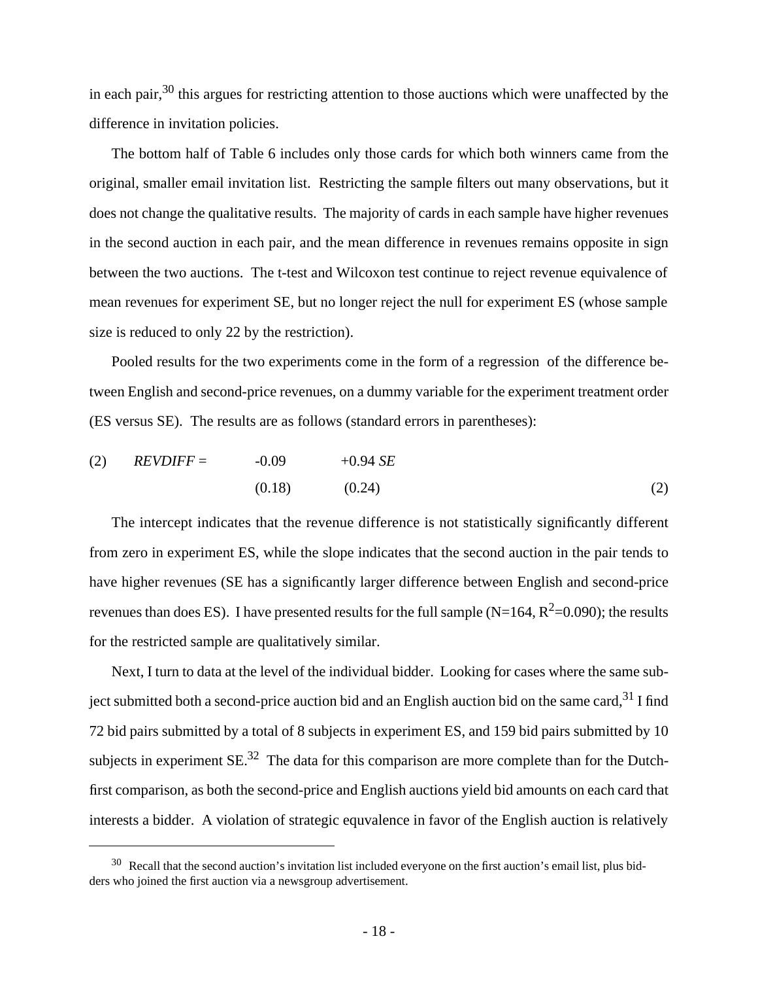in each pair, $30$  this argues for restricting attention to those auctions which were unaffected by the difference in invitation policies.

The bottom half of Table 6 includes only those cards for which both winners came from the original, smaller email invitation list. Restricting the sample filters out many observations, but it does not change the qualitative results. The majority of cards in each sample have higher revenues in the second auction in each pair, and the mean difference in revenues remains opposite in sign between the two auctions. The t-test and Wilcoxon test continue to reject revenue equivalence of mean revenues for experiment SE, but no longer reject the null for experiment ES (whose sample size is reduced to only 22 by the restriction).

Pooled results for the two experiments come in the form of a regression of the difference between English and second-price revenues, on a dummy variable for the experiment treatment order (ES versus SE). The results are as follows (standard errors in parentheses):

(2) 
$$
REVDIFF = -0.09 +0.94 SE
$$
  
(0.18) (0.24) (2)

The intercept indicates that the revenue difference is not statistically significantly different from zero in experiment ES, while the slope indicates that the second auction in the pair tends to have higher revenues (SE has a significantly larger difference between English and second-price revenues than does ES). I have presented results for the full sample (N=164,  $R^2$ =0.090); the results for the restricted sample are qualitatively similar.

Next, I turn to data at the level of the individual bidder. Looking for cases where the same subject submitted both a second-price auction bid and an English auction bid on the same card,<sup>31</sup> I find 72 bid pairs submitted by a total of 8 subjects in experiment ES, and 159 bid pairs submitted by 10 subjects in experiment  $SE^{32}$ . The data for this comparison are more complete than for the Dutchfirst comparison, as both the second-price and English auctions yield bid amounts on each card that interests a bidder. A violation of strategic equvalence in favor of the English auction is relatively

 $30$  Recall that the second auction's invitation list included everyone on the first auction's email list, plus bidders who joined the first auction via a newsgroup advertisement.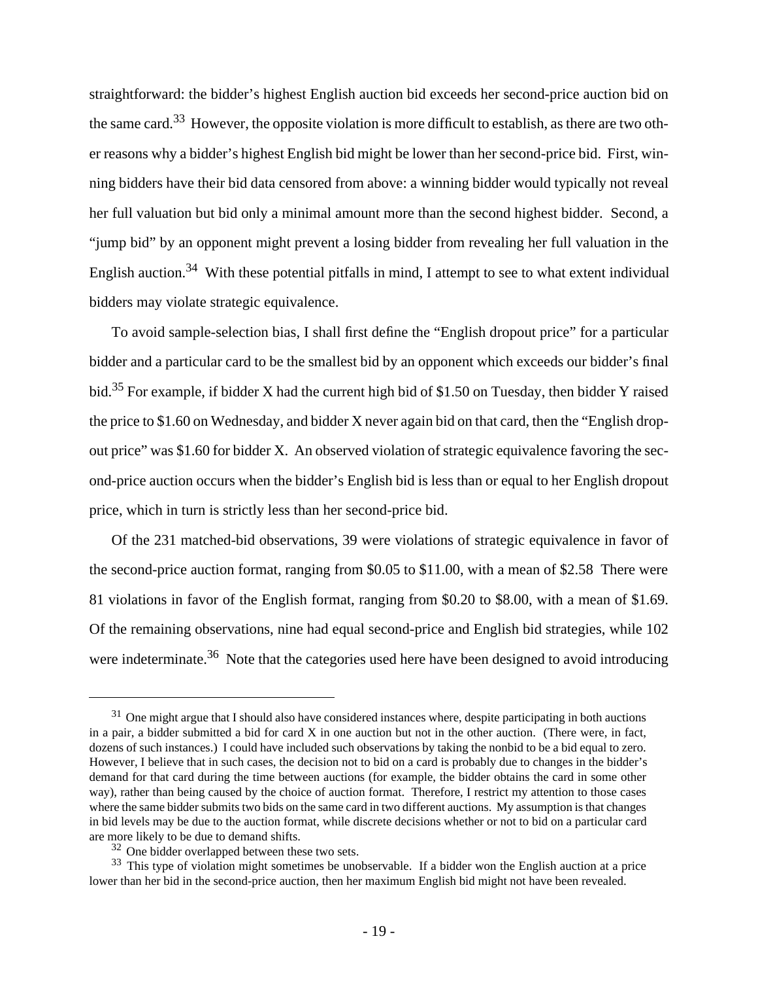straightforward: the bidder's highest English auction bid exceeds her second-price auction bid on the same card.33 However, the opposite violation is more difficult to establish, as there are two other reasons why a bidder's highest English bid might be lower than her second-price bid. First, winning bidders have their bid data censored from above: a winning bidder would typically not reveal her full valuation but bid only a minimal amount more than the second highest bidder. Second, a "jump bid" by an opponent might prevent a losing bidder from revealing her full valuation in the English auction.<sup>34</sup> With these potential pitfalls in mind, I attempt to see to what extent individual bidders may violate strategic equivalence.

To avoid sample-selection bias, I shall first define the "English dropout price" for a particular bidder and a particular card to be the smallest bid by an opponent which exceeds our bidder's final bid.<sup>35</sup> For example, if bidder X had the current high bid of \$1.50 on Tuesday, then bidder Y raised the price to \$1.60 on Wednesday, and bidder X never again bid on that card, then the "English dropout price" was \$1.60 for bidder X. An observed violation of strategic equivalence favoring the second-price auction occurs when the bidder's English bid is less than or equal to her English dropout price, which in turn is strictly less than her second-price bid.

Of the 231 matched-bid observations, 39 were violations of strategic equivalence in favor of the second-price auction format, ranging from \$0.05 to \$11.00, with a mean of \$2.58 There were 81 violations in favor of the English format, ranging from \$0.20 to \$8.00, with a mean of \$1.69. Of the remaining observations, nine had equal second-price and English bid strategies, while 102 were indeterminate.<sup>36</sup> Note that the categories used here have been designed to avoid introducing

 $31$  One might argue that I should also have considered instances where, despite participating in both auctions in a pair, a bidder submitted a bid for card X in one auction but not in the other auction. (There were, in fact, dozens of such instances.) I could have included such observations by taking the nonbid to be a bid equal to zero. However, I believe that in such cases, the decision not to bid on a card is probably due to changes in the bidder's demand for that card during the time between auctions (for example, the bidder obtains the card in some other way), rather than being caused by the choice of auction format. Therefore, I restrict my attention to those cases where the same bidder submits two bids on the same card in two different auctions. My assumption is that changes in bid levels may be due to the auction format, while discrete decisions whether or not to bid on a particular card are more likely to be due to demand shifts.

 $32$  One bidder overlapped between these two sets.

<sup>&</sup>lt;sup>33</sup> This type of violation might sometimes be unobservable. If a bidder won the English auction at a price lower than her bid in the second-price auction, then her maximum English bid might not have been revealed.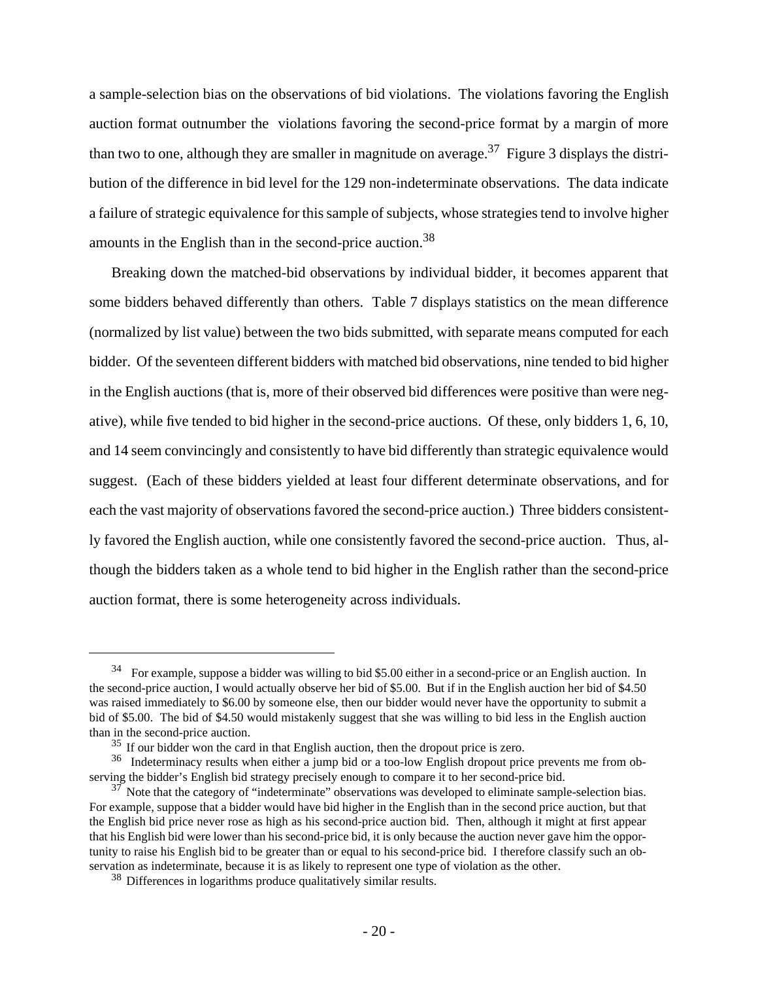a sample-selection bias on the observations of bid violations. The violations favoring the English auction format outnumber the violations favoring the second-price format by a margin of more than two to one, although they are smaller in magnitude on average.<sup>37</sup> Figure 3 displays the distribution of the difference in bid level for the 129 non-indeterminate observations. The data indicate a failure of strategic equivalence for this sample of subjects, whose strategies tend to involve higher amounts in the English than in the second-price auction.<sup>38</sup>

Breaking down the matched-bid observations by individual bidder, it becomes apparent that some bidders behaved differently than others. Table 7 displays statistics on the mean difference (normalized by list value) between the two bids submitted, with separate means computed for each bidder. Of the seventeen different bidders with matched bid observations, nine tended to bid higher in the English auctions (that is, more of their observed bid differences were positive than were negative), while five tended to bid higher in the second-price auctions. Of these, only bidders 1, 6, 10, and 14 seem convincingly and consistently to have bid differently than strategic equivalence would suggest. (Each of these bidders yielded at least four different determinate observations, and for each the vast majority of observations favored the second-price auction.) Three bidders consistently favored the English auction, while one consistently favored the second-price auction. Thus, although the bidders taken as a whole tend to bid higher in the English rather than the second-price auction format, there is some heterogeneity across individuals.

<sup>&</sup>lt;sup>34</sup> For example, suppose a bidder was willing to bid \$5.00 either in a second-price or an English auction. In the second-price auction, I would actually observe her bid of \$5.00. But if in the English auction her bid of \$4.50 was raised immediately to \$6.00 by someone else, then our bidder would never have the opportunity to submit a bid of \$5.00. The bid of \$4.50 would mistakenly suggest that she was willing to bid less in the English auction than in the second-price auction.

 $35$  If our bidder won the card in that English auction, then the dropout price is zero.

<sup>&</sup>lt;sup>36</sup> Indeterminacy results when either a jump bid or a too-low English dropout price prevents me from observing the bidder's English bid strategy precisely enough to compare it to her second-price bid.

 $37$  Note that the category of "indeterminate" observations was developed to eliminate sample-selection bias. For example, suppose that a bidder would have bid higher in the English than in the second price auction, but that the English bid price never rose as high as his second-price auction bid. Then, although it might at first appear that his English bid were lower than his second-price bid, it is only because the auction never gave him the opportunity to raise his English bid to be greater than or equal to his second-price bid. I therefore classify such an observation as indeterminate, because it is as likely to represent one type of violation as the other.

<sup>&</sup>lt;sup>38</sup> Differences in logarithms produce qualitatively similar results.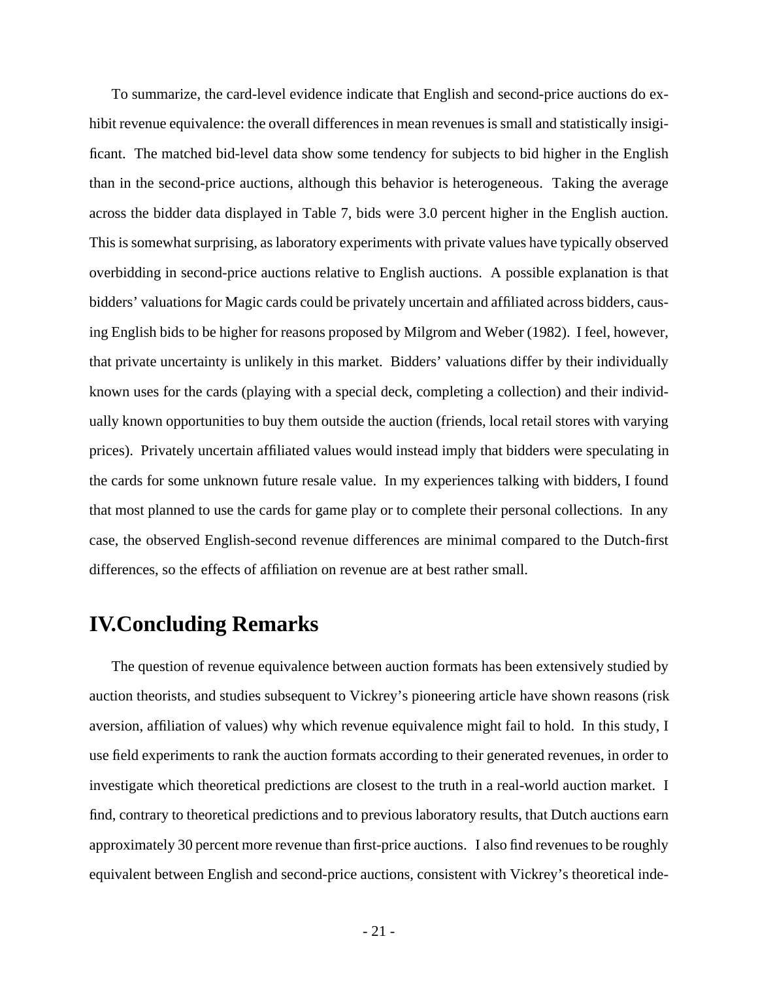To summarize, the card-level evidence indicate that English and second-price auctions do exhibit revenue equivalence: the overall differences in mean revenues is small and statistically insigificant. The matched bid-level data show some tendency for subjects to bid higher in the English than in the second-price auctions, although this behavior is heterogeneous. Taking the average across the bidder data displayed in Table 7, bids were 3.0 percent higher in the English auction. This is somewhat surprising, as laboratory experiments with private values have typically observed overbidding in second-price auctions relative to English auctions. A possible explanation is that bidders' valuations for Magic cards could be privately uncertain and affiliated across bidders, causing English bids to be higher for reasons proposed by Milgrom and Weber (1982). I feel, however, that private uncertainty is unlikely in this market. Bidders' valuations differ by their individually known uses for the cards (playing with a special deck, completing a collection) and their individually known opportunities to buy them outside the auction (friends, local retail stores with varying prices). Privately uncertain affiliated values would instead imply that bidders were speculating in the cards for some unknown future resale value. In my experiences talking with bidders, I found that most planned to use the cards for game play or to complete their personal collections. In any case, the observed English-second revenue differences are minimal compared to the Dutch-first differences, so the effects of affiliation on revenue are at best rather small.

### **IV.Concluding Remarks**

The question of revenue equivalence between auction formats has been extensively studied by auction theorists, and studies subsequent to Vickrey's pioneering article have shown reasons (risk aversion, affiliation of values) why which revenue equivalence might fail to hold. In this study, I use field experiments to rank the auction formats according to their generated revenues, in order to investigate which theoretical predictions are closest to the truth in a real-world auction market. I find, contrary to theoretical predictions and to previous laboratory results, that Dutch auctions earn approximately 30 percent more revenue than first-price auctions. I also find revenues to be roughly equivalent between English and second-price auctions, consistent with Vickrey's theoretical inde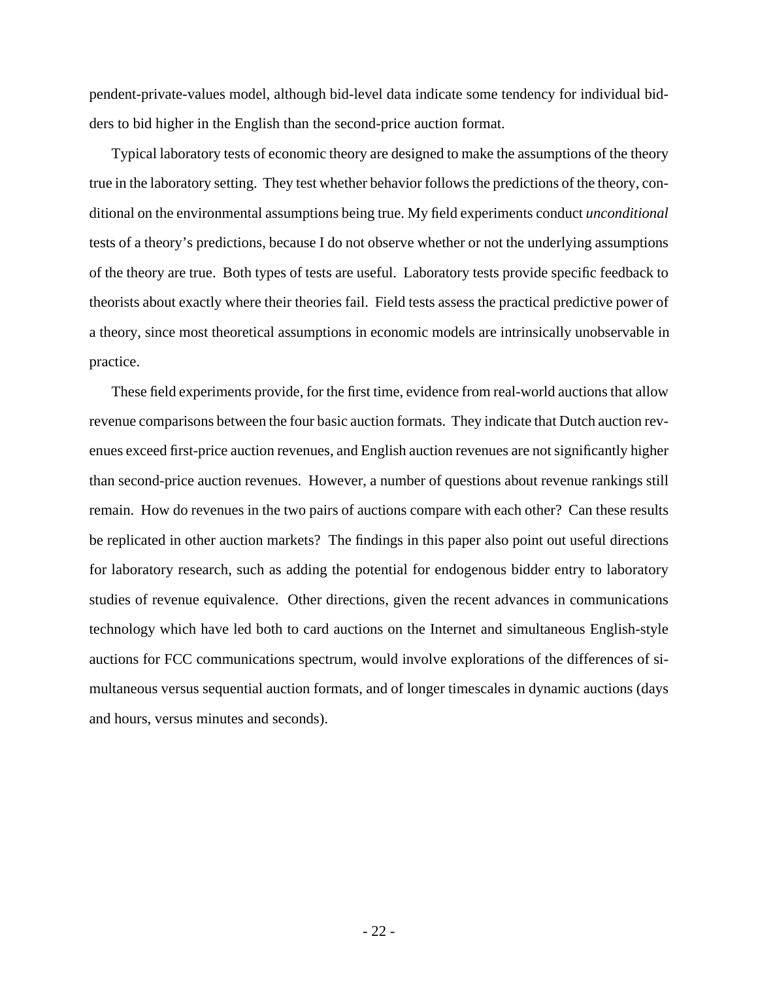pendent-private-values model, although bid-level data indicate some tendency for individual bidders to bid higher in the English than the second-price auction format.

Typical laboratory tests of economic theory are designed to make the assumptions of the theory true in the laboratory setting. They test whether behavior follows the predictions of the theory, conditional on the environmental assumptions being true. My field experiments conduct *unconditional* tests of a theory's predictions, because I do not observe whether or not the underlying assumptions of the theory are true. Both types of tests are useful. Laboratory tests provide specific feedback to theorists about exactly where their theories fail. Field tests assess the practical predictive power of a theory, since most theoretical assumptions in economic models are intrinsically unobservable in practice.

These field experiments provide, for the first time, evidence from real-world auctions that allow revenue comparisons between the four basic auction formats. They indicate that Dutch auction revenues exceed first-price auction revenues, and English auction revenues are not significantly higher than second-price auction revenues. However, a number of questions about revenue rankings still remain. How do revenues in the two pairs of auctions compare with each other? Can these results be replicated in other auction markets? The findings in this paper also point out useful directions for laboratory research, such as adding the potential for endogenous bidder entry to laboratory studies of revenue equivalence. Other directions, given the recent advances in communications technology which have led both to card auctions on the Internet and simultaneous English-style auctions for FCC communications spectrum, would involve explorations of the differences of simultaneous versus sequential auction formats, and of longer timescales in dynamic auctions (days and hours, versus minutes and seconds).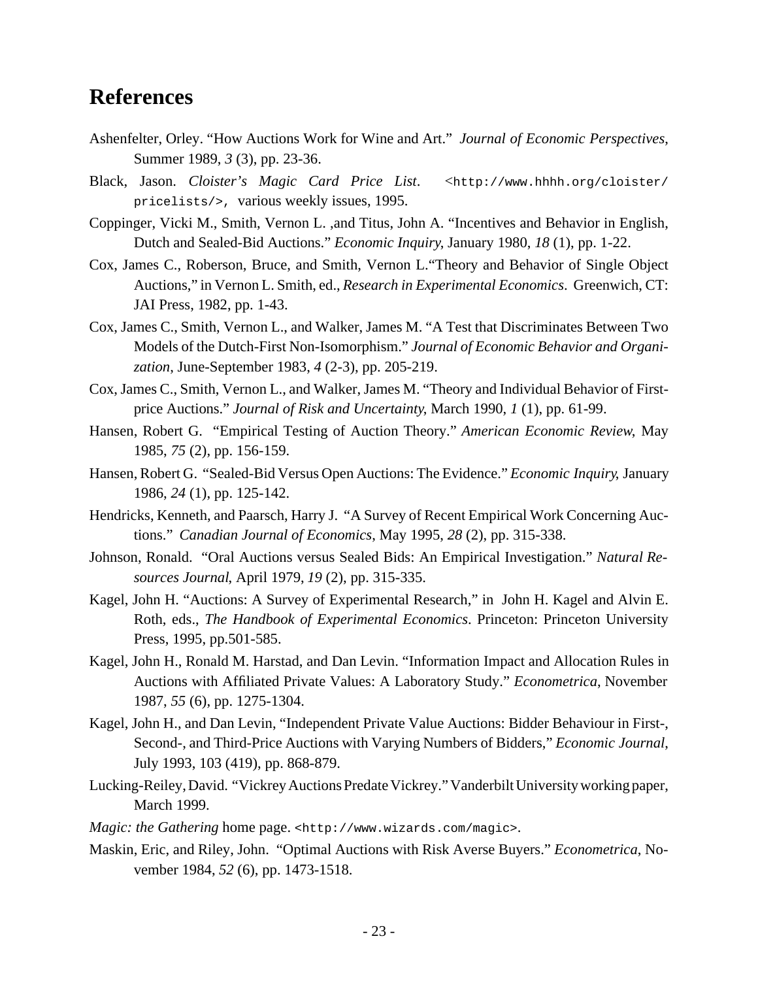# **References**

- Ashenfelter, Orley. "How Auctions Work for Wine and Art." *Journal of Economic Perspectives*, Summer 1989, *3* (3), pp. 23-36.
- Black, Jason. *Cloister's Magic Card Price List*. <http://www.hhhh.org/cloister/ pricelists/>, various weekly issues, 1995.
- Coppinger, Vicki M., Smith, Vernon L. ,and Titus, John A. "Incentives and Behavior in English, Dutch and Sealed-Bid Auctions." *Economic Inquiry*, January 1980, *18* (1), pp. 1-22.
- Cox, James C., Roberson, Bruce, and Smith, Vernon L."Theory and Behavior of Single Object Auctions," in Vernon L. Smith, ed., *Research in Experimental Economics*. Greenwich, CT: JAI Press, 1982, pp. 1-43.
- Cox, James C., Smith, Vernon L., and Walker, James M. "A Test that Discriminates Between Two Models of the Dutch-First Non-Isomorphism." *Journal of Economic Behavior and Organization*, June-September 1983, *4* (2-3), pp. 205-219.
- Cox, James C., Smith, Vernon L., and Walker, James M. "Theory and Individual Behavior of Firstprice Auctions." *Journal of Risk and Uncertainty*, March 1990, *1* (1), pp. 61-99.
- Hansen, Robert G. "Empirical Testing of Auction Theory." *American Economic Review*, May 1985, *75* (2), pp. 156-159.
- Hansen, Robert G. "Sealed-Bid Versus Open Auctions: The Evidence." *Economic Inquiry*, January 1986, *24* (1), pp. 125-142.
- Hendricks, Kenneth, and Paarsch, Harry J. "A Survey of Recent Empirical Work Concerning Auctions." *Canadian Journal of Economics*, May 1995, *28* (2), pp. 315-338.
- Johnson, Ronald. "Oral Auctions versus Sealed Bids: An Empirical Investigation." *Natural Resources Journal*, April 1979, *19* (2), pp. 315-335.
- Kagel, John H. "Auctions: A Survey of Experimental Research," in John H. Kagel and Alvin E. Roth, eds., *The Handbook of Experimental Economics*. Princeton: Princeton University Press, 1995, pp.501-585.
- Kagel, John H., Ronald M. Harstad, and Dan Levin. "Information Impact and Allocation Rules in Auctions with Affiliated Private Values: A Laboratory Study." *Econometrica*, November 1987, *55* (6), pp. 1275-1304.
- Kagel, John H., and Dan Levin, "Independent Private Value Auctions: Bidder Behaviour in First-, Second-, and Third-Price Auctions with Varying Numbers of Bidders," *Economic Journal*, July 1993, 103 (419), pp. 868-879.
- Lucking-Reiley, David. "Vickrey Auctions Predate Vickrey." Vanderbilt University working paper, March 1999.
- *Magic: the Gathering* home page. <http://www.wizards.com/magic>.
- Maskin, Eric, and Riley, John. "Optimal Auctions with Risk Averse Buyers." *Econometrica*, November 1984, *52* (6), pp. 1473-1518.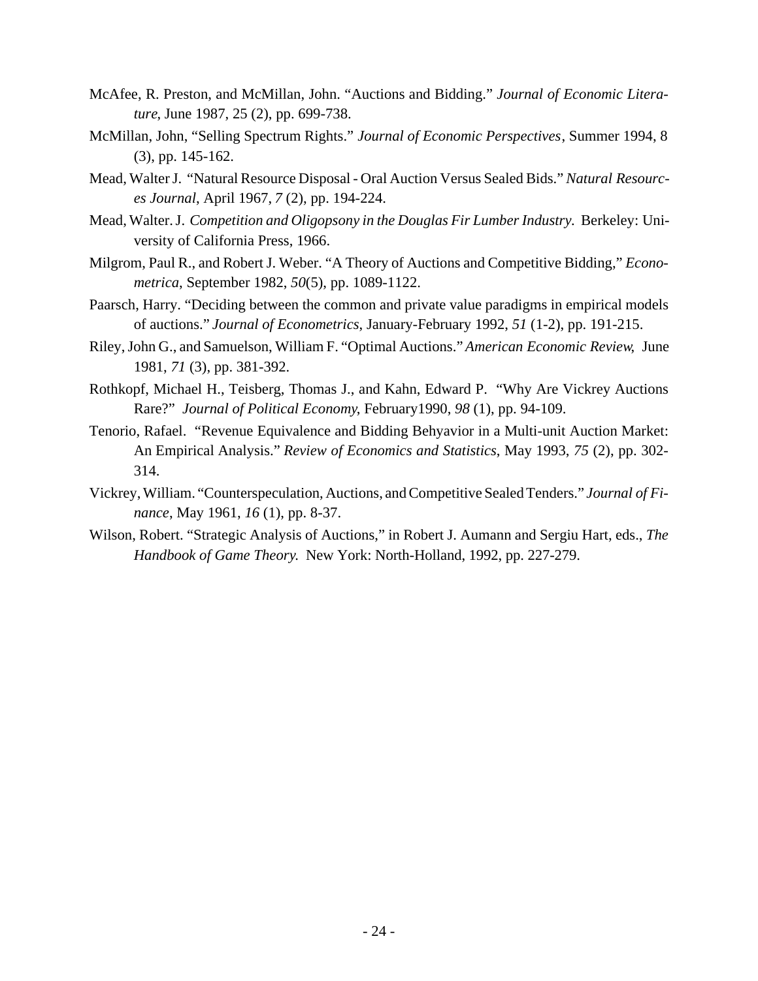- McAfee, R. Preston, and McMillan, John. "Auctions and Bidding." *Journal of Economic Literature*, June 1987, 25 (2), pp. 699-738.
- McMillan, John, "Selling Spectrum Rights." *Journal of Economic Perspectives*, Summer 1994, 8 (3), pp. 145-162.
- Mead, Walter J. "Natural Resource Disposal Oral Auction Versus Sealed Bids." *Natural Resources Journal*, April 1967, *7* (2), pp. 194-224.
- Mead, Walter. J. *Competition and Oligopsony in the Douglas Fir Lumber Industry.* Berkeley: University of California Press, 1966.
- Milgrom, Paul R., and Robert J. Weber. "A Theory of Auctions and Competitive Bidding," *Econometrica*, September 1982, *50*(5), pp. 1089-1122.
- Paarsch, Harry. "Deciding between the common and private value paradigms in empirical models of auctions." *Journal of Econometrics*, January-February 1992, *51* (1-2), pp. 191-215.
- Riley, John G., and Samuelson, William F. "Optimal Auctions." *American Economic Review*, June 1981, *71* (3), pp. 381-392.
- Rothkopf, Michael H., Teisberg, Thomas J., and Kahn, Edward P. "Why Are Vickrey Auctions Rare?" *Journal of Political Economy*, February1990, *98* (1), pp. 94-109.
- Tenorio, Rafael. "Revenue Equivalence and Bidding Behyavior in a Multi-unit Auction Market: An Empirical Analysis." *Review of Economics and Statistics*, May 1993, *75* (2), pp. 302- 314.
- Vickrey, William. "Counterspeculation, Auctions, and Competitive Sealed Tenders." *Journal of Finance*, May 1961, *16* (1), pp. 8-37.
- Wilson, Robert. "Strategic Analysis of Auctions," in Robert J. Aumann and Sergiu Hart, eds., *The Handbook of Game Theory*. New York: North-Holland, 1992, pp. 227-279.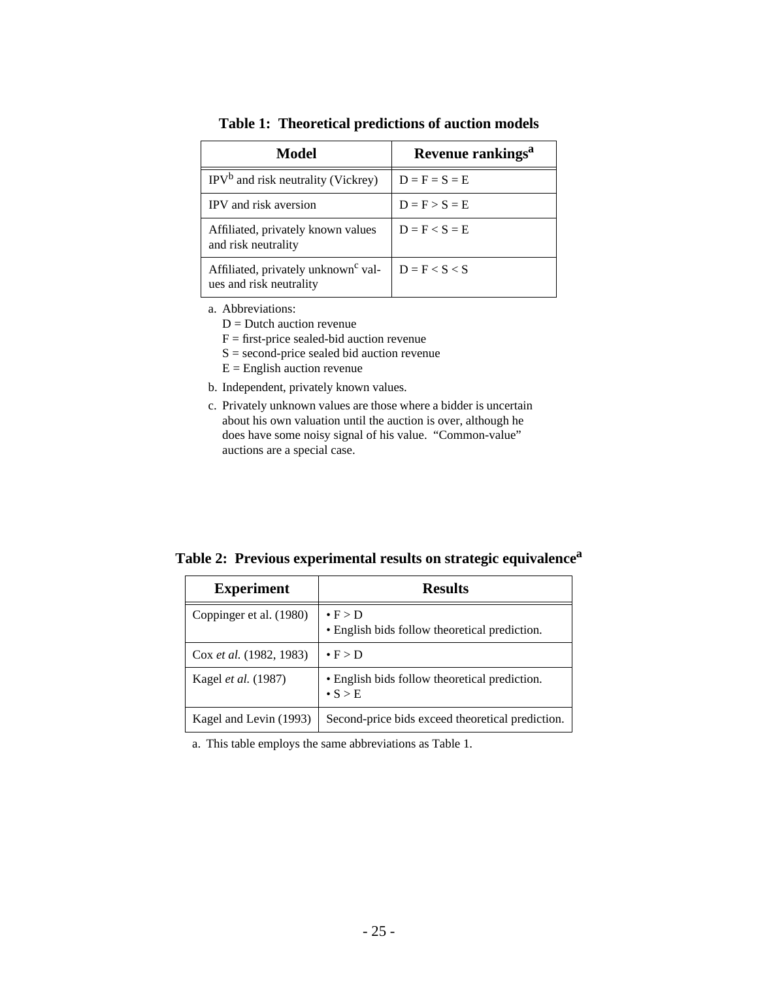| <b>Model</b>                                                               | Revenue rankings <sup>a</sup> |
|----------------------------------------------------------------------------|-------------------------------|
| $IPVb$ and risk neutrality (Vickrey)                                       | $D = F = S = E$               |
| IPV and risk aversion                                                      | $D = F > S = E$               |
| Affiliated, privately known values<br>and risk neutrality                  | $D = F < S = E$               |
| Affiliated, privately unknown <sup>c</sup> val-<br>ues and risk neutrality | $D = F < S < S$               |

**Table 1: Theoretical predictions of auction models**

- a. Abbreviations:
	- $D =$  Dutch auction revenue
	- $F =$  first-price sealed-bid auction revenue
	- S = second-price sealed bid auction revenue
	- $E =$  English auction revenue
- b. Independent, privately known values.
- c. Privately unknown values are those where a bidder is uncertain about his own valuation until the auction is over, although he does have some noisy signal of his value. "Common-value" auctions are a special case.

**Table 2: Previous experimental results on strategic equivalence<sup>a</sup>**

| <b>Experiment</b>          | <b>Results</b>                                                     |
|----------------------------|--------------------------------------------------------------------|
| Coppinger et al. (1980)    | $\bullet$ F > D<br>• English bids follow theoretical prediction.   |
| Cox et al. (1982, 1983)    | $\bullet$ F > D                                                    |
| Kagel <i>et al.</i> (1987) | • English bids follow theoretical prediction.<br>$\bullet$ S $>$ E |
| Kagel and Levin (1993)     | Second-price bids exceed theoretical prediction.                   |

a. This table employs the same abbreviations as Table 1.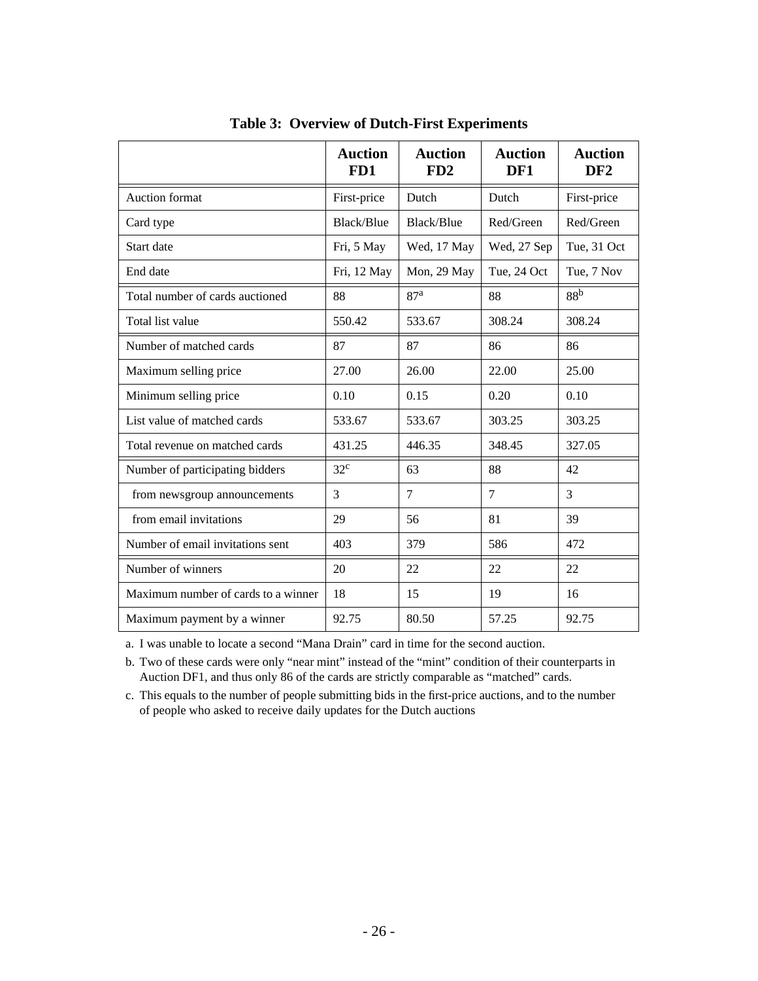|                                     | <b>Auction</b><br>FD1 | <b>Auction</b><br>FD2 | <b>Auction</b><br>DF1 | <b>Auction</b><br>DF <sub>2</sub> |  |
|-------------------------------------|-----------------------|-----------------------|-----------------------|-----------------------------------|--|
| Auction format                      | First-price           | Dutch                 | Dutch                 | First-price                       |  |
| Card type                           | Black/Blue            | Black/Blue            | Red/Green             | Red/Green                         |  |
| Start date                          | Fri, 5 May            | Wed, 17 May           | Wed, 27 Sep           | Tue, 31 Oct                       |  |
| End date                            | Fri, 12 May           | Mon, 29 May           | Tue, 24 Oct           | Tue, 7 Nov                        |  |
| Total number of cards auctioned     | 88                    | 87 <sup>a</sup>       | 88                    | 88 <sup>b</sup>                   |  |
| Total list value                    | 550.42                | 533.67                | 308.24                | 308.24                            |  |
| Number of matched cards             | 87                    | 87                    | 86                    | 86                                |  |
| Maximum selling price               | 27.00                 | 26.00                 | 22.00                 | 25.00                             |  |
| Minimum selling price               | 0.10                  | 0.15                  | 0.20                  | 0.10                              |  |
| List value of matched cards         | 533.67                | 533.67                | 303.25                | 303.25                            |  |
| Total revenue on matched cards      | 431.25                | 446.35                | 348.45                | 327.05                            |  |
| Number of participating bidders     | $32^{\circ}$          | 63                    | 88                    | 42                                |  |
| from newsgroup announcements        | 3                     | 7                     | $\overline{7}$        | $\overline{3}$                    |  |
| from email invitations              | 29                    | 56<br>81              |                       | 39                                |  |
| Number of email invitations sent    | 403                   | 379                   | 586                   | 472                               |  |
| Number of winners                   | 20                    | 22                    | 22                    | 22                                |  |
| Maximum number of cards to a winner | 18                    | 15                    | 19                    | 16                                |  |
| Maximum payment by a winner         | 92.75                 | 80.50<br>57.25        |                       | 92.75                             |  |

**Table 3: Overview of Dutch-First Experiments**

a. I was unable to locate a second "Mana Drain" card in time for the second auction.

b. Two of these cards were only "near mint" instead of the "mint" condition of their counterparts in Auction DF1, and thus only 86 of the cards are strictly comparable as "matched" cards.

c. This equals to the number of people submitting bids in the first-price auctions, and to the number of people who asked to receive daily updates for the Dutch auctions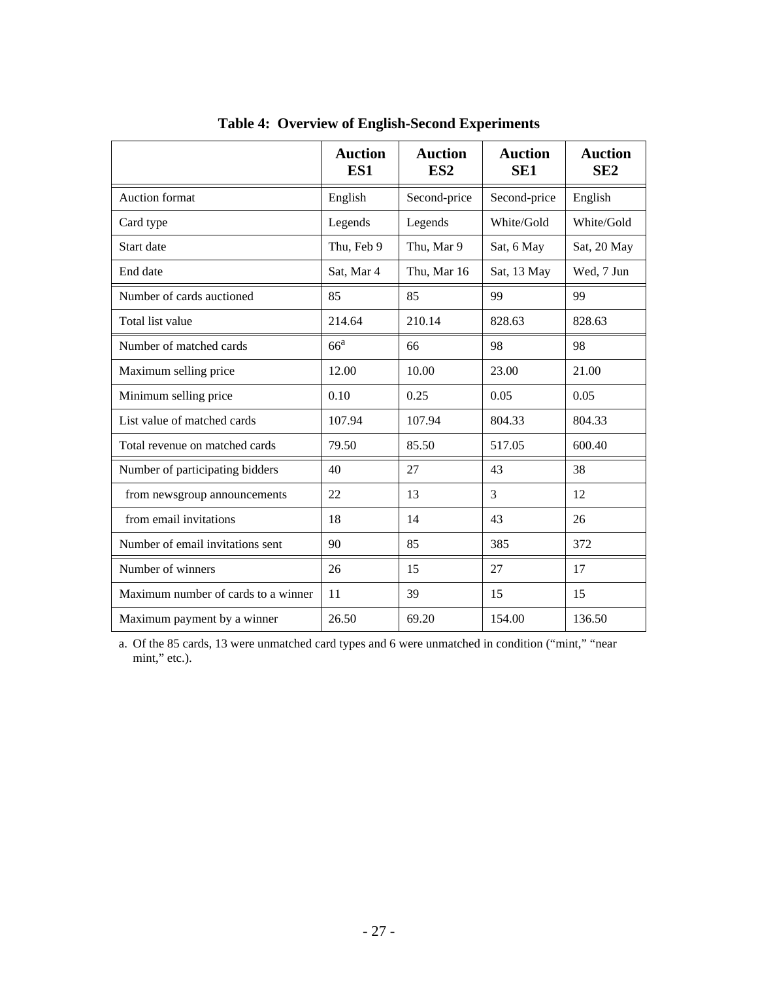|                                     | <b>Auction</b><br>ES1 | <b>Auction</b><br>ES <sub>2</sub> | <b>Auction</b><br>SE <sub>1</sub> | <b>Auction</b><br>SE2 |
|-------------------------------------|-----------------------|-----------------------------------|-----------------------------------|-----------------------|
| <b>Auction</b> format               | English               | Second-price                      | Second-price                      | English               |
| Card type                           | Legends               | Legends                           | White/Gold                        | White/Gold            |
| Start date                          | Thu, Feb 9            | Thu, Mar 9                        | Sat, 6 May                        | Sat, 20 May           |
| End date                            | Sat, Mar 4            | Thu, Mar 16                       | Sat, 13 May                       | Wed, 7 Jun            |
| Number of cards auctioned           | 85                    | 85                                | 99                                | 99                    |
| Total list value                    | 214.64                | 210.14                            | 828.63                            | 828.63                |
| Number of matched cards             | 66 <sup>a</sup>       | 66                                | 98                                | 98                    |
| Maximum selling price               | 12.00                 | 10.00                             | 23.00                             | 21.00                 |
| Minimum selling price               | 0.10                  | 0.25                              | 0.05                              | 0.05                  |
| List value of matched cards         | 107.94                | 107.94                            | 804.33                            | 804.33                |
| Total revenue on matched cards      | 79.50                 | 85.50                             | 517.05                            | 600.40                |
| Number of participating bidders     | 40                    | 27                                | 43                                | 38                    |
| from newsgroup announcements        | 22                    | 3<br>13                           |                                   | 12                    |
| from email invitations              | 18                    | 14                                | 43                                | 26                    |
| Number of email invitations sent    | 90                    | 85                                | 385                               | 372                   |
| Number of winners                   | 26                    | 15                                | 27                                | 17                    |
| Maximum number of cards to a winner | 11                    | 39                                | 15                                | 15                    |
| Maximum payment by a winner         | 26.50                 | 69.20                             | 154.00                            | 136.50                |

**Table 4: Overview of English-Second Experiments**

a. Of the 85 cards, 13 were unmatched card types and 6 were unmatched in condition ("mint," "near mint," etc.).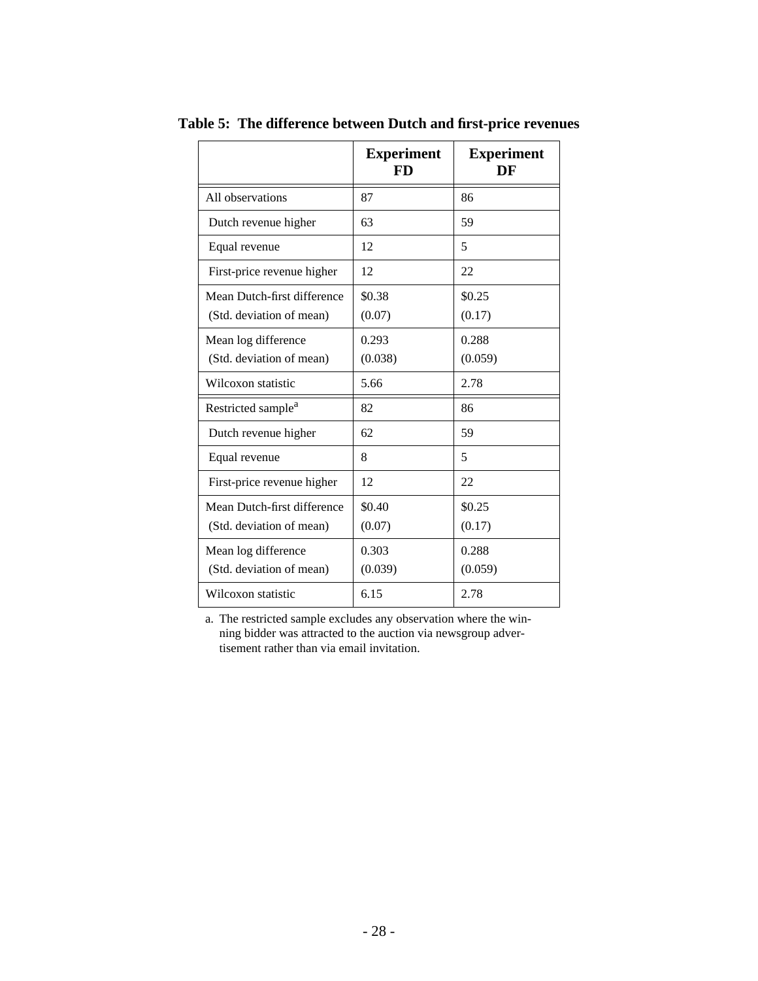|                                                         | <b>Experiment</b><br>FD | <b>Experiment</b><br>DF |
|---------------------------------------------------------|-------------------------|-------------------------|
| All observations                                        | 87                      | 86                      |
| Dutch revenue higher                                    | 63                      | 59                      |
| Equal revenue                                           | 12                      | 5                       |
| First-price revenue higher                              | 12                      | 22                      |
| Mean Dutch-first difference<br>(Std. deviation of mean) | \$0.38<br>(0.07)        | \$0.25<br>(0.17)        |
| Mean log difference<br>(Std. deviation of mean)         | 0.293<br>(0.038)        | 0.288<br>(0.059)        |
| Wilcoxon statistic                                      | 5.66                    | 2.78                    |
| Restricted sample <sup>a</sup>                          | 82                      | 86                      |
| Dutch revenue higher                                    | 62                      | 59                      |
| Equal revenue                                           | 8                       | 5                       |
| First-price revenue higher                              | 12                      | 22                      |
| Mean Dutch-first difference<br>(Std. deviation of mean) | \$0.40<br>(0.07)        | \$0.25<br>(0.17)        |
| Mean log difference<br>(Std. deviation of mean)         | 0.303<br>(0.039)        | 0.288<br>(0.059)        |
| Wilcoxon statistic                                      | 6.15                    | 2.78                    |

**Table 5: The difference between Dutch and first-price revenues**

a. The restricted sample excludes any observation where the winning bidder was attracted to the auction via newsgroup advertisement rather than via email invitation.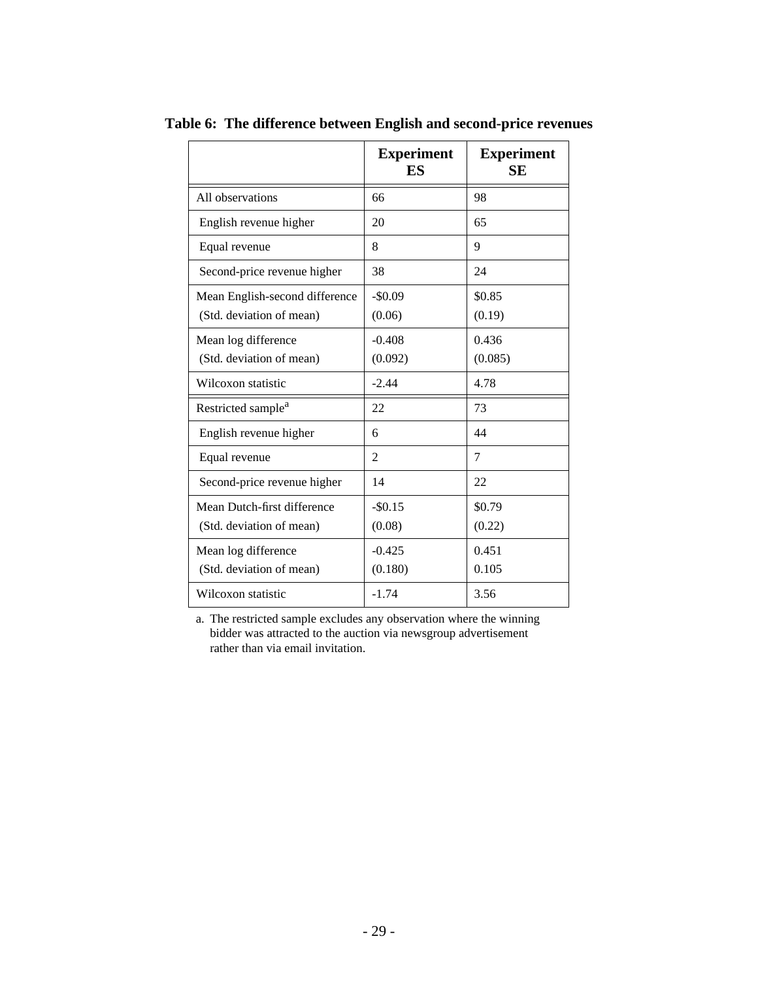|                                                            | <b>Experiment</b><br>ES | <b>Experiment</b><br><b>SE</b> |
|------------------------------------------------------------|-------------------------|--------------------------------|
| All observations                                           | 66                      | 98                             |
| English revenue higher                                     | 20                      | 65                             |
| Equal revenue                                              | 8                       | 9                              |
| Second-price revenue higher                                | 38                      | 24                             |
| Mean English-second difference<br>(Std. deviation of mean) | $-$0.09$<br>(0.06)      | \$0.85<br>(0.19)               |
| Mean log difference<br>(Std. deviation of mean)            | $-0.408$<br>(0.092)     | 0.436<br>(0.085)               |
| Wilcoxon statistic                                         | $-2.44$                 | 4.78                           |
| Restricted sample <sup>a</sup>                             | 22                      | 73                             |
| English revenue higher                                     | 6                       | 44                             |
| Equal revenue                                              | 2                       | 7                              |
| Second-price revenue higher                                | 14                      | 22                             |
| Mean Dutch-first difference<br>(Std. deviation of mean)    | $-$0.15$<br>(0.08)      | \$0.79<br>(0.22)               |
| Mean log difference<br>(Std. deviation of mean)            | $-0.425$<br>(0.180)     | 0.451<br>0.105                 |
| Wilcoxon statistic                                         | $-1.74$                 | 3.56                           |

**Table 6: The difference between English and second-price revenues**

a. The restricted sample excludes any observation where the winning bidder was attracted to the auction via newsgroup advertisement rather than via email invitation.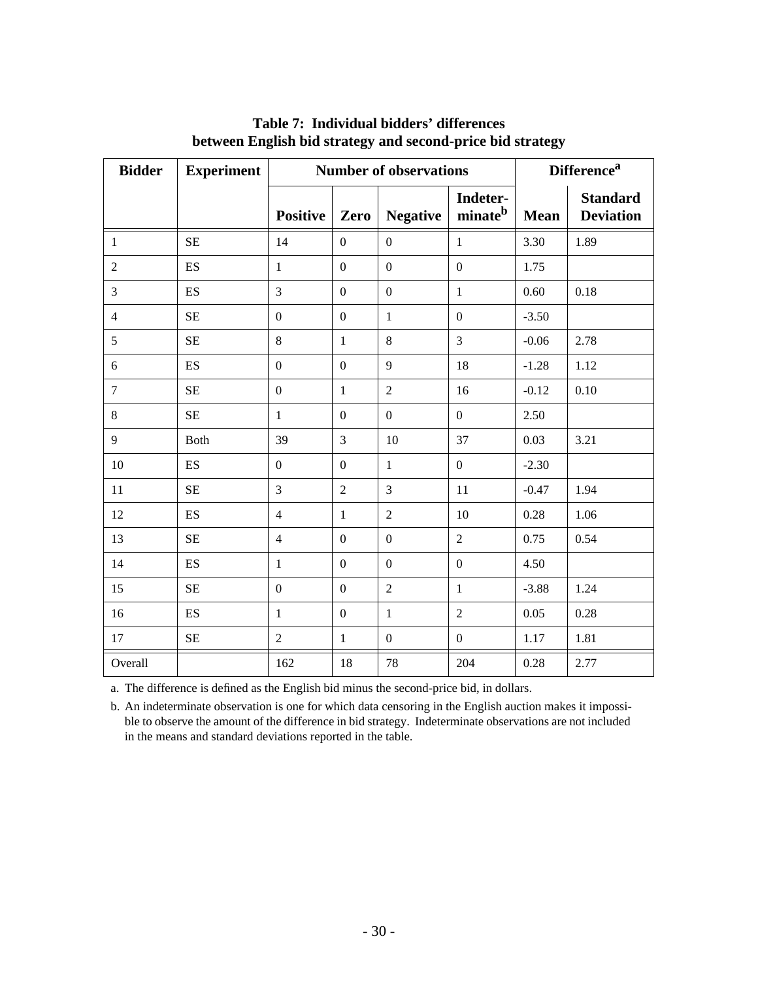| <b>Bidder</b>  | <b>Experiment</b>        | <b>Number of observations</b> |                  |                  |                                 | <b>Difference</b> <sup>a</sup> |                                     |
|----------------|--------------------------|-------------------------------|------------------|------------------|---------------------------------|--------------------------------|-------------------------------------|
|                |                          | <b>Positive</b>               | Zero             | <b>Negative</b>  | Indeter-<br>minate <sup>b</sup> | <b>Mean</b>                    | <b>Standard</b><br><b>Deviation</b> |
| $\mathbf{1}$   | $\rm SE$                 | 14                            | $\overline{0}$   | $\overline{0}$   | $\mathbf{1}$                    | 3.30                           | 1.89                                |
| $\overline{2}$ | ES                       | $\mathbf{1}$                  | $\overline{0}$   | $\overline{0}$   | $\boldsymbol{0}$                | 1.75                           |                                     |
| 3              | ES                       | 3                             | $\boldsymbol{0}$ | $\mathbf{0}$     | $\mathbf{1}$                    | 0.60                           | 0.18                                |
| $\overline{4}$ | <b>SE</b>                | $\boldsymbol{0}$              | $\mathbf{0}$     | $\mathbf{1}$     | $\boldsymbol{0}$                | $-3.50$                        |                                     |
| 5              | SE                       | 8                             | $\mathbf{1}$     | 8                | 3                               | $-0.06$                        | 2.78                                |
| 6              | ES                       | $\boldsymbol{0}$              | $\mathbf{0}$     | 9                | 18                              | $-1.28$                        | 1.12                                |
| $\overline{7}$ | $\rm SE$                 | $\mathbf{0}$                  | $\mathbf{1}$     | $\overline{2}$   | 16                              | $-0.12$                        | 0.10                                |
| $\,8\,$        | $\rm SE$                 | $\mathbf{1}$                  | $\overline{0}$   | $\overline{0}$   | $\overline{0}$                  | 2.50                           |                                     |
| 9              | Both                     | 39                            | $\overline{3}$   | 10               | 37                              | 0.03                           | 3.21                                |
| 10             | ES                       | $\boldsymbol{0}$              | $\boldsymbol{0}$ | $\mathbf{1}$     | $\mathbf{0}$                    | $-2.30$                        |                                     |
| 11             | $\rm SE$                 | 3                             | $\overline{2}$   | 3                | 11                              | $-0.47$                        | 1.94                                |
| 12             | $\mathop{\hbox{\rm ES}}$ | $\overline{4}$                | $\mathbf{1}$     | $\overline{2}$   | 10                              | 0.28                           | 1.06                                |
| 13             | $\rm SE$                 | $\overline{4}$                | $\boldsymbol{0}$ | $\boldsymbol{0}$ | $\overline{2}$                  | 0.75                           | 0.54                                |
| 14             | ES                       | $\mathbf{1}$                  | $\boldsymbol{0}$ | $\mathbf{0}$     | $\boldsymbol{0}$                | 4.50                           |                                     |
| 15             | <b>SE</b>                | $\boldsymbol{0}$              | $\overline{0}$   | $\overline{2}$   | $\mathbf{1}$                    | $-3.88$                        | 1.24                                |
| 16             | ES                       | $\mathbf{1}$                  | $\boldsymbol{0}$ | $\mathbf{1}$     | $\overline{2}$                  | 0.05                           | 0.28                                |
| 17             | $\rm SE$                 | $\overline{2}$                | $\mathbf{1}$     | $\mathbf{0}$     | $\mathbf{0}$                    | 1.17                           | 1.81                                |
| Overall        |                          | 162                           | 18               | 78               | 204                             | 0.28                           | 2.77                                |

### **Table 7: Individual bidders' differences between English bid strategy and second-price bid strategy**

a. The difference is defined as the English bid minus the second-price bid, in dollars.

b. An indeterminate observation is one for which data censoring in the English auction makes it impossible to observe the amount of the difference in bid strategy. Indeterminate observations are not included in the means and standard deviations reported in the table.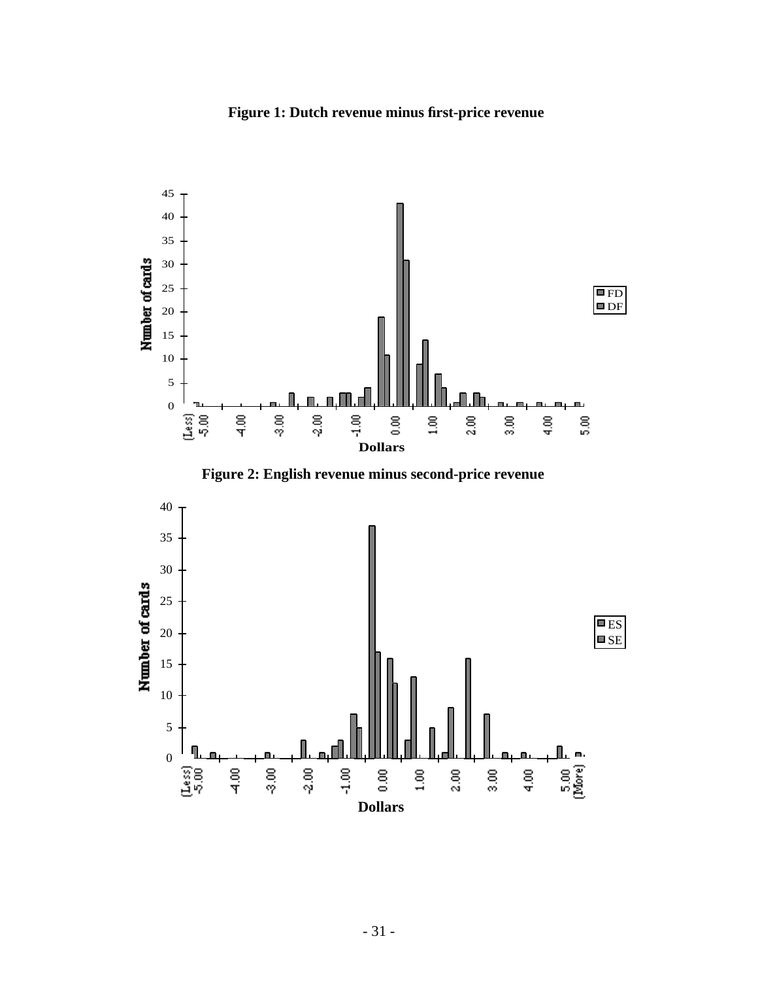



**Figure 2: English revenue minus second-price revenue**